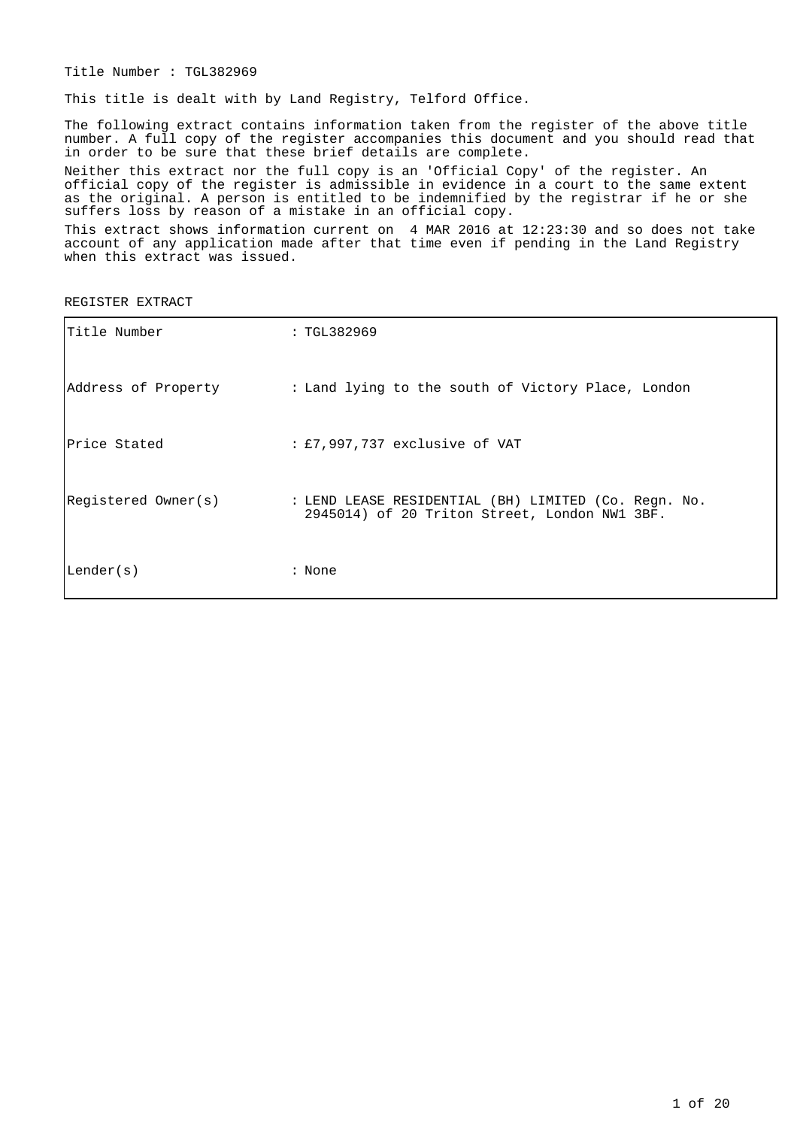Title Number : TGL382969

This title is dealt with by Land Registry, Telford Office.

The following extract contains information taken from the register of the above title number. A full copy of the register accompanies this document and you should read that in order to be sure that these brief details are complete.

Neither this extract nor the full copy is an 'Official Copy' of the register. An official copy of the register is admissible in evidence in a court to the same extent as the original. A person is entitled to be indemnified by the registrar if he or she suffers loss by reason of a mistake in an official copy.

This extract shows information current on 4 MAR 2016 at 12:23:30 and so does not take account of any application made after that time even if pending in the Land Registry when this extract was issued.

REGISTER EXTRACT

| Title Number        | : TGL382969                                                                                           |
|---------------------|-------------------------------------------------------------------------------------------------------|
| Address of Property | : Land lying to the south of Victory Place, London                                                    |
| Price Stated        | : £7,997,737 exclusive of VAT                                                                         |
| Registered Owner(s) | : LEND LEASE RESIDENTIAL (BH) LIMITED (Co. Reqn. No.<br>2945014) of 20 Triton Street, London NW1 3BF. |
| Lender(s)           | : None                                                                                                |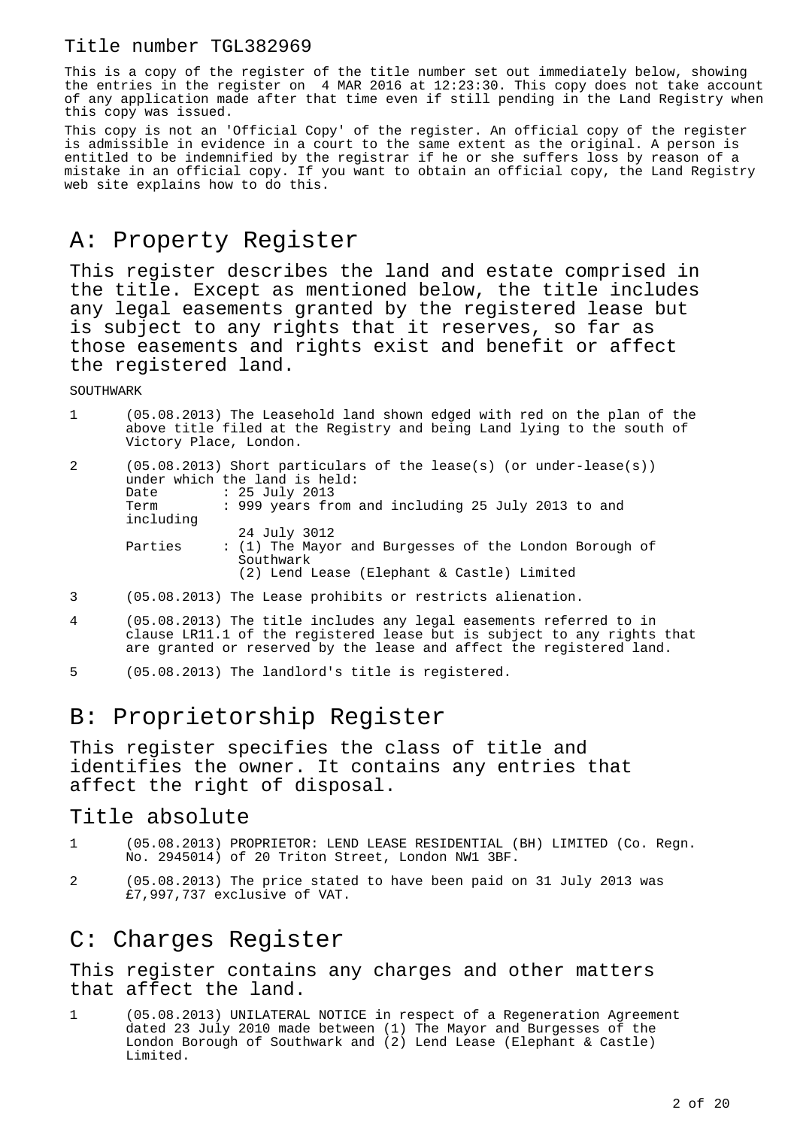This is a copy of the register of the title number set out immediately below, showing the entries in the register on 4 MAR 2016 at 12:23:30. This copy does not take account of any application made after that time even if still pending in the Land Registry when this copy was issued.

This copy is not an 'Official Copy' of the register. An official copy of the register is admissible in evidence in a court to the same extent as the original. A person is entitled to be indemnified by the registrar if he or she suffers loss by reason of a mistake in an official copy. If you want to obtain an official copy, the Land Registry web site explains how to do this.

# A: Property Register

This register describes the land and estate comprised in the title. Except as mentioned below, the title includes any legal easements granted by the registered lease but is subject to any rights that it reserves, so far as those easements and rights exist and benefit or affect the registered land.

**SOUTHWARK** 

| $\mathbf{1}$ | (05.08.2013) The Leasehold land shown edged with red on the plan of the<br>above title filed at the Registry and being Land lying to the south of<br>Victory Place, London.                                  |
|--------------|--------------------------------------------------------------------------------------------------------------------------------------------------------------------------------------------------------------|
| 2            | $(05.08.2013)$ Short particulars of the lease(s) (or under-lease(s))<br>under which the land is held:<br>$: 25$ July 2013<br>Date<br>: 999 years from and including 25 July 2013 to and<br>Term<br>including |
|              | 24 July 3012<br>Parties<br>: (1) The Mayor and Burgesses of the London Borough of<br>Southwark<br>(2) Lend Lease (Elephant & Castle) Limited                                                                 |
|              | $(05.08.2013)$ The Lease prohibits or restricts alienation.                                                                                                                                                  |

- 4 (05.08.2013) The title includes any legal easements referred to in clause LR11.1 of the registered lease but is subject to any rights that are granted or reserved by the lease and affect the registered land.
- 5 (05.08.2013) The landlord's title is registered.

# B: Proprietorship Register

This register specifies the class of title and identifies the owner. It contains any entries that affect the right of disposal.

#### Title absolute

- 1 (05.08.2013) PROPRIETOR: LEND LEASE RESIDENTIAL (BH) LIMITED (Co. Regn. No. 2945014) of 20 Triton Street, London NW1 3BF.
- 2 (05.08.2013) The price stated to have been paid on 31 July 2013 was £7,997,737 exclusive of VAT.

#### C: Charges Register

This register contains any charges and other matters that affect the land.

1 (05.08.2013) UNILATERAL NOTICE in respect of a Regeneration Agreement dated 23 July 2010 made between (1) The Mayor and Burgesses of the London Borough of Southwark and (2) Lend Lease (Elephant & Castle) Limited.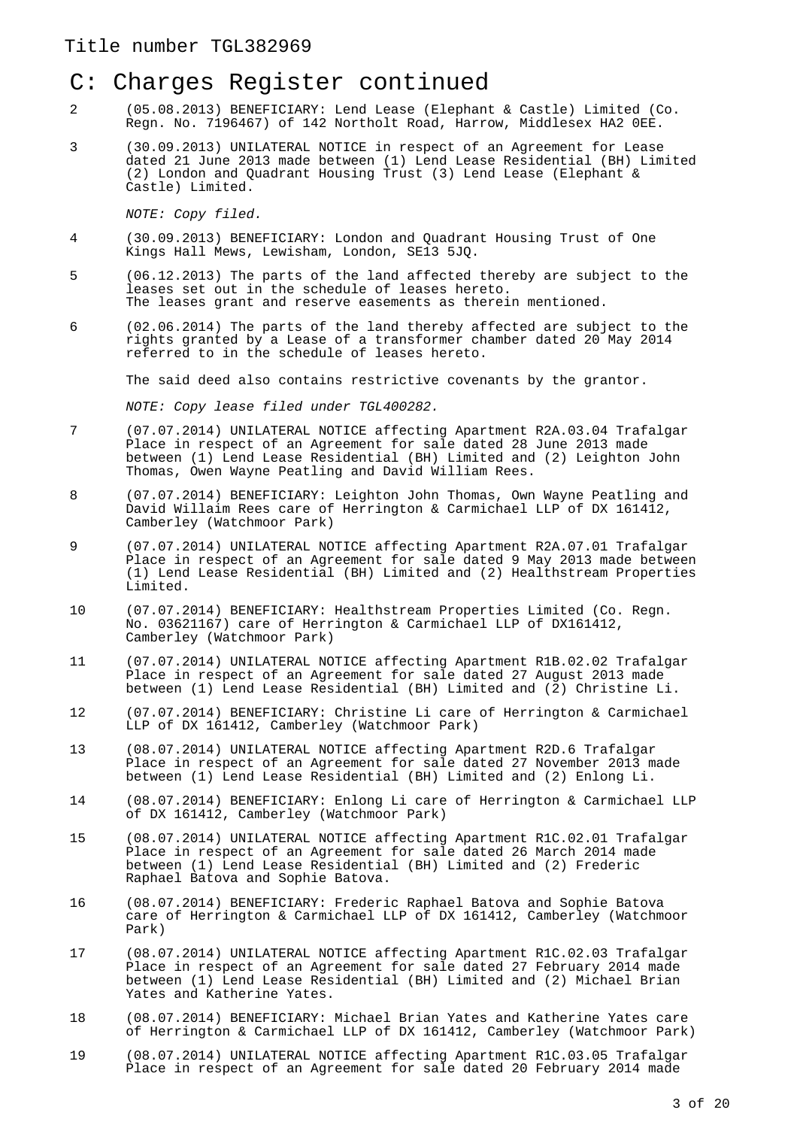#### C: Charges Register continued

- 2 (05.08.2013) BENEFICIARY: Lend Lease (Elephant & Castle) Limited (Co. Regn. No. 7196467) of 142 Northolt Road, Harrow, Middlesex HA2 0EE.
- 3 (30.09.2013) UNILATERAL NOTICE in respect of an Agreement for Lease dated 21 June 2013 made between (1) Lend Lease Residential (BH) Limited (2) London and Quadrant Housing Trust (3) Lend Lease (Elephant & Castle) Limited.

NOTE: Copy filed.

- 4 (30.09.2013) BENEFICIARY: London and Quadrant Housing Trust of One Kings Hall Mews, Lewisham, London, SE13 5JQ.
- 5 (06.12.2013) The parts of the land affected thereby are subject to the leases set out in the schedule of leases hereto. The leases grant and reserve easements as therein mentioned.
- 6 (02.06.2014) The parts of the land thereby affected are subject to the rights granted by a Lease of a transformer chamber dated 20 May 2014 referred to in the schedule of leases hereto.

The said deed also contains restrictive covenants by the grantor.

NOTE: Copy lease filed under TGL400282.

- 7 (07.07.2014) UNILATERAL NOTICE affecting Apartment R2A.03.04 Trafalgar Place in respect of an Agreement for sale dated 28 June 2013 made between (1) Lend Lease Residential (BH) Limited and (2) Leighton John Thomas, Owen Wayne Peatling and David William Rees.
- 8 (07.07.2014) BENEFICIARY: Leighton John Thomas, Own Wayne Peatling and David Willaim Rees care of Herrington & Carmichael LLP of DX 161412, Camberley (Watchmoor Park)
- 9 (07.07.2014) UNILATERAL NOTICE affecting Apartment R2A.07.01 Trafalgar Place in respect of an Agreement for sale dated 9 May 2013 made between (1) Lend Lease Residential (BH) Limited and (2) Healthstream Properties Limited.
- 10 (07.07.2014) BENEFICIARY: Healthstream Properties Limited (Co. Regn. No. 03621167) care of Herrington & Carmichael LLP of DX161412, Camberley (Watchmoor Park)
- 11 (07.07.2014) UNILATERAL NOTICE affecting Apartment R1B.02.02 Trafalgar Place in respect of an Agreement for sale dated 27 August 2013 made between (1) Lend Lease Residential (BH) Limited and (2) Christine Li.
- 12 (07.07.2014) BENEFICIARY: Christine Li care of Herrington & Carmichael LLP of DX 161412, Camberley (Watchmoor Park)
- 13 (08.07.2014) UNILATERAL NOTICE affecting Apartment R2D.6 Trafalgar Place in respect of an Agreement for sale dated 27 November 2013 made between (1) Lend Lease Residential (BH) Limited and (2) Enlong Li.
- 14 (08.07.2014) BENEFICIARY: Enlong Li care of Herrington & Carmichael LLP of DX 161412, Camberley (Watchmoor Park)
- 15 (08.07.2014) UNILATERAL NOTICE affecting Apartment R1C.02.01 Trafalgar Place in respect of an Agreement for sale dated 26 March 2014 made between (1) Lend Lease Residential (BH) Limited and (2) Frederic Raphael Batova and Sophie Batova.
- 16 (08.07.2014) BENEFICIARY: Frederic Raphael Batova and Sophie Batova care of Herrington & Carmichael LLP of DX 161412, Camberley (Watchmoor Park)
- 17 (08.07.2014) UNILATERAL NOTICE affecting Apartment R1C.02.03 Trafalgar Place in respect of an Agreement for sale dated 27 February 2014 made between (1) Lend Lease Residential (BH) Limited and (2) Michael Brian Yates and Katherine Yates.
- 18 (08.07.2014) BENEFICIARY: Michael Brian Yates and Katherine Yates care of Herrington & Carmichael LLP of DX 161412, Camberley (Watchmoor Park)
- 19 (08.07.2014) UNILATERAL NOTICE affecting Apartment R1C.03.05 Trafalgar Place in respect of an Agreement for sale dated 20 February 2014 made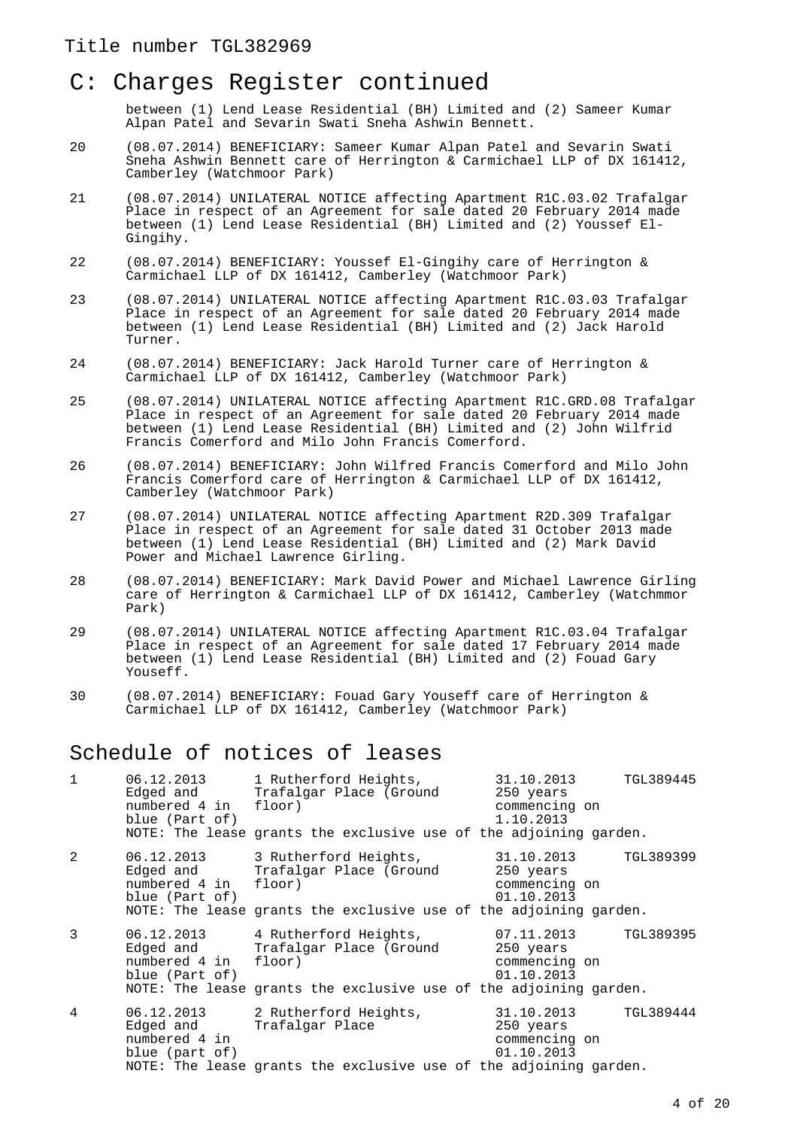#### C: Charges Register continued

between (1) Lend Lease Residential (BH) Limited and (2) Sameer Kumar Alpan Patel and Sevarin Swati Sneha Ashwin Bennett.

- 20 (08.07.2014) BENEFICIARY: Sameer Kumar Alpan Patel and Sevarin Swati Sneha Ashwin Bennett care of Herrington & Carmichael LLP of DX 161412, Camberley (Watchmoor Park)
- 21 (08.07.2014) UNILATERAL NOTICE affecting Apartment R1C.03.02 Trafalgar Place in respect of an Agreement for sale dated 20 February 2014 made between (1) Lend Lease Residential (BH) Limited and (2) Youssef El-Gingihy.
- 22 (08.07.2014) BENEFICIARY: Youssef El-Gingihy care of Herrington & Carmichael LLP of DX 161412, Camberley (Watchmoor Park)
- 23 (08.07.2014) UNILATERAL NOTICE affecting Apartment R1C.03.03 Trafalgar Place in respect of an Agreement for sale dated 20 February 2014 made between (1) Lend Lease Residential (BH) Limited and (2) Jack Harold Turner.
- 24 (08.07.2014) BENEFICIARY: Jack Harold Turner care of Herrington & Carmichael LLP of DX 161412, Camberley (Watchmoor Park)
- 25 (08.07.2014) UNILATERAL NOTICE affecting Apartment R1C.GRD.08 Trafalgar Place in respect of an Agreement for sale dated 20 February 2014 made between (1) Lend Lease Residential (BH) Limited and (2) John Wilfrid Francis Comerford and Milo John Francis Comerford.
- 26 (08.07.2014) BENEFICIARY: John Wilfred Francis Comerford and Milo John Francis Comerford care of Herrington & Carmichael LLP of DX 161412, Camberley (Watchmoor Park)
- 27 (08.07.2014) UNILATERAL NOTICE affecting Apartment R2D.309 Trafalgar Place in respect of an Agreement for sale dated 31 October 2013 made between (1) Lend Lease Residential (BH) Limited and (2) Mark David Power and Michael Lawrence Girling.
- 28 (08.07.2014) BENEFICIARY: Mark David Power and Michael Lawrence Girling care of Herrington & Carmichael LLP of DX 161412, Camberley (Watchmmor Park)
- 29 (08.07.2014) UNILATERAL NOTICE affecting Apartment R1C.03.04 Trafalgar Place in respect of an Agreement for sale dated 17 February 2014 made between (1) Lend Lease Residential (BH) Limited and (2) Fouad Gary Youseff.
- 30 (08.07.2014) BENEFICIARY: Fouad Gary Youseff care of Herrington & Carmichael LLP of DX 161412, Camberley (Watchmoor Park)

#### Schedule of notices of leases

| $\mathbf{1}$ | 06.12.2013<br>Edged and<br>numbered 4 in floor)<br>blue (Part of) | 1 Rutherford Heights,<br>Trafalgar Place (Ground 250 years<br>NOTE: The lease grants the exclusive use of the adjoining garden.  | 31.10.2013<br>commencing on<br>1.10.2013               | TGL389445 |
|--------------|-------------------------------------------------------------------|----------------------------------------------------------------------------------------------------------------------------------|--------------------------------------------------------|-----------|
| 2            | 06.12.2013<br>Edged and<br>numbered 4 in<br>blue (Part of)        | 3 Rutherford Heights,<br>Trafalgar Place (Ground<br>floor)<br>NOTE: The lease grants the exclusive use of the adjoining garden.  | 31.10.2013<br>250 years<br>commencing on<br>01.10.2013 | TGL389399 |
| 3            | Edged and<br>numbered 4 in floor)<br>blue (Part of)               | 06.12.2013 4 Rutherford Heights,<br>Trafalgar Place (Ground<br>NOTE: The lease grants the exclusive use of the adjoining garden. | 07.11.2013<br>250 years<br>commencing on<br>01.10.2013 | TGL389395 |
| 4            | 06.12.2013<br>Edged and<br>numbered 4 in<br>blue (part of)        | 2 Rutherford Heights,<br>Trafalgar Place<br>NOTE: The lease grants the exclusive use of the adjoining garden.                    | 31.10.2013<br>250 years<br>commencing on<br>01.10.2013 | TGL389444 |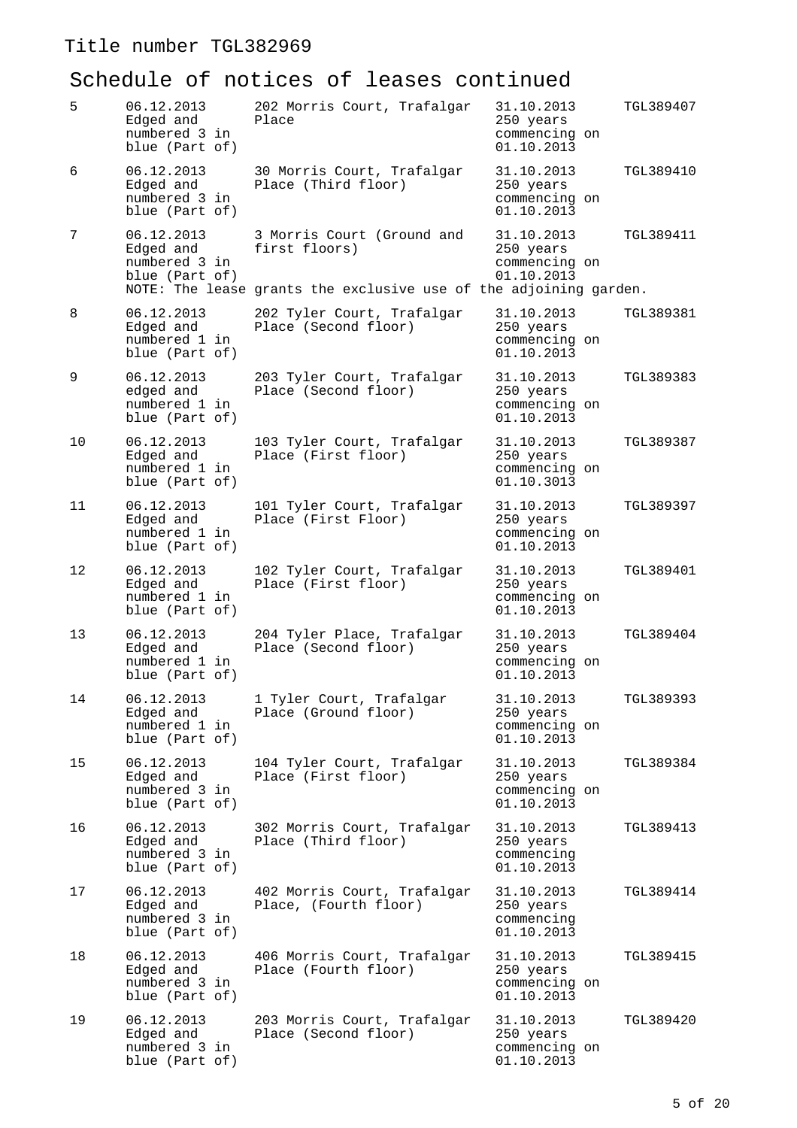| 5  | 06.12.2013<br>Edged and<br>numbered 3 in<br>blue (Part of) | 202 Morris Court, Trafalgar<br>Place                                                                             | 31.10.2013<br>250 years<br>commencing on<br>01.10.2013 | TGL389407 |
|----|------------------------------------------------------------|------------------------------------------------------------------------------------------------------------------|--------------------------------------------------------|-----------|
| 6  | 06.12.2013<br>Edged and<br>numbered 3 in<br>blue (Part of) | 30 Morris Court, Trafalgar<br>Place (Third floor)                                                                | 31.10.2013<br>250 years<br>commencing on<br>01.10.2013 | TGL389410 |
| 7  | 06.12.2013<br>Edged and<br>numbered 3 in<br>blue (Part of) | 3 Morris Court (Ground and<br>first floors)<br>NOTE: The lease grants the exclusive use of the adjoining garden. | 31.10.2013<br>250 years<br>commencing on<br>01.10.2013 | TGL389411 |
| 8  | 06.12.2013<br>Edged and<br>numbered 1 in<br>blue (Part of) | 202 Tyler Court, Trafalgar<br>Place (Second floor)                                                               | 31.10.2013<br>250 years<br>commencing on<br>01.10.2013 | TGL389381 |
| 9  | 06.12.2013<br>edged and<br>numbered 1 in<br>blue (Part of) | 203 Tyler Court, Trafalgar<br>Place (Second floor)                                                               | 31.10.2013<br>250 years<br>commencing on<br>01.10.2013 | TGL389383 |
| 10 | 06.12.2013<br>Edged and<br>numbered 1 in<br>blue (Part of) | 103 Tyler Court, Trafalgar<br>Place (First floor)                                                                | 31.10.2013<br>250 years<br>commencing on<br>01.10.3013 | TGL389387 |
| 11 | 06.12.2013<br>Edged and<br>numbered 1 in<br>blue (Part of) | 101 Tyler Court, Trafalgar<br>Place (First Floor)                                                                | 31.10.2013<br>250 years<br>commencing on<br>01.10.2013 | TGL389397 |
| 12 | 06.12.2013<br>Edged and<br>numbered 1 in<br>blue (Part of) | 102 Tyler Court, Trafalgar<br>Place (First floor)                                                                | 31.10.2013<br>250 years<br>commencing on<br>01.10.2013 | TGL389401 |
| 13 | 06.12.2013<br>Edged and<br>numbered 1 in<br>blue (Part of) | 204 Tyler Place, Trafalgar<br>Place (Second floor)                                                               | 31.10.2013<br>250 years<br>commencing on<br>01.10.2013 | TGL389404 |
| 14 | 06.12.2013<br>Edged and<br>numbered 1 in<br>blue (Part of) | 1 Tyler Court, Trafalgar<br>Place (Ground floor)                                                                 | 31.10.2013<br>250 years<br>commencing on<br>01.10.2013 | TGL389393 |
| 15 | 06.12.2013<br>Edged and<br>numbered 3 in<br>blue (Part of) | 104 Tyler Court, Trafalgar<br>Place (First floor)                                                                | 31.10.2013<br>250 years<br>commencing on<br>01.10.2013 | TGL389384 |
| 16 | 06.12.2013<br>Edged and<br>numbered 3 in<br>blue (Part of) | 302 Morris Court, Trafalgar<br>Place (Third floor)                                                               | 31.10.2013<br>250 years<br>commencing<br>01.10.2013    | TGL389413 |
| 17 | 06.12.2013<br>Edged and<br>numbered 3 in<br>blue (Part of) | 402 Morris Court, Trafalgar<br>Place, (Fourth floor)                                                             | 31.10.2013<br>250 years<br>commencing<br>01.10.2013    | TGL389414 |
| 18 | 06.12.2013<br>Edged and<br>numbered 3 in<br>blue (Part of) | 406 Morris Court, Trafalgar<br>Place (Fourth floor)                                                              | 31.10.2013<br>250 years<br>commencing on<br>01.10.2013 | TGL389415 |
| 19 | 06.12.2013<br>Edged and<br>numbered 3 in<br>blue (Part of) | 203 Morris Court, Trafalgar<br>Place (Second floor)                                                              | 31.10.2013<br>250 years<br>commencing on<br>01.10.2013 | TGL389420 |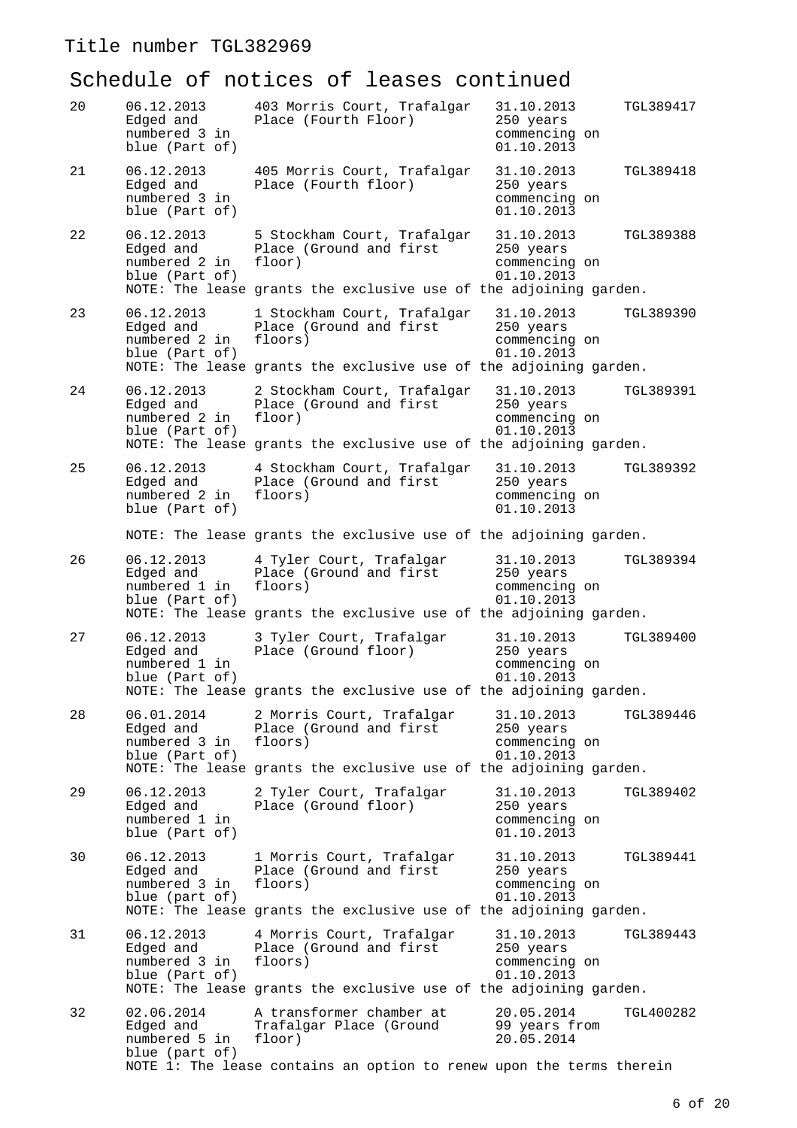| 20 | 06.12.2013<br>Edged and<br>numbered 3 in<br>blue (Part of) | 403 Morris Court, Trafalgar<br>Place (Fourth Floor)                                                                                    | 31.10.2013<br>TGL389417<br>250 years<br>commencing on<br>01.10.2013 |
|----|------------------------------------------------------------|----------------------------------------------------------------------------------------------------------------------------------------|---------------------------------------------------------------------|
| 21 | 06.12.2013<br>Edged and<br>numbered 3 in<br>blue (Part of) | 405 Morris Court, Trafalgar<br>Place (Fourth floor)                                                                                    | 31.10.2013<br>TGL389418<br>250 years<br>commencing on<br>01.10.2013 |
| 22 | 06.12.2013<br>Edged and<br>numbered 2 in<br>blue (Part of) | 5 Stockham Court, Trafalgar<br>Place (Ground and first<br>floor)<br>NOTE: The lease grants the exclusive use of the adjoining garden.  | 31.10.2013<br>TGL389388<br>250 years<br>commencing on<br>01.10.2013 |
| 23 | 06.12.2013<br>Edged and<br>numbered 2 in<br>blue (Part of) | 1 Stockham Court, Trafalgar<br>Place (Ground and first<br>floors)<br>NOTE: The lease grants the exclusive use of the adjoining garden. | 31.10.2013<br>TGL389390<br>250 years<br>commencing on<br>01.10.2013 |
| 24 | 06.12.2013<br>Edged and<br>numbered 2 in<br>blue (Part of) | 2 Stockham Court, Trafalgar<br>Place (Ground and first<br>floor)<br>NOTE: The lease grants the exclusive use of the adjoining garden.  | 31.10.2013<br>TGL389391<br>250 years<br>commencing on<br>01.10.2013 |
| 25 | 06.12.2013<br>Edged and<br>numbered 2 in<br>blue (Part of) | 4 Stockham Court, Trafalgar<br>Place (Ground and first<br>floors)                                                                      | 31.10.2013<br>TGL389392<br>250 years<br>commencing on<br>01.10.2013 |
|    |                                                            | NOTE: The lease grants the exclusive use of the adjoining garden.                                                                      |                                                                     |
| 26 | 06.12.2013<br>Edged and<br>numbered 1 in<br>blue (Part of) | 4 Tyler Court, Trafalgar<br>Place (Ground and first<br>floors)<br>NOTE: The lease grants the exclusive use of the adjoining garden.    | TGL389394<br>31.10.2013<br>250 years<br>commencing on<br>01.10.2013 |
| 27 | 06.12.2013<br>Edged and<br>numbered 1 in<br>blue (Part of) | 3 Tyler Court, Trafalgar<br>Place (Ground floor)<br>NOTE: The lease grants the exclusive use of the adjoining garden.                  | 31.10.2013<br>TGL389400<br>250 years<br>commencing on<br>01.10.2013 |
| 28 | 06.01.2014<br>Edged and<br>numbered 3 in<br>blue (Part of) | 2 Morris Court, Trafalgar<br>Place (Ground and first<br>floors)<br>NOTE: The lease grants the exclusive use of the adjoining garden.   | 31.10.2013<br>TGL389446<br>250 years<br>commencing on<br>01.10.2013 |
| 29 | 06.12.2013<br>Edged and<br>numbered 1 in<br>blue (Part of) | 2 Tyler Court, Trafalgar<br>Place (Ground floor)                                                                                       | 31.10.2013<br>TGL389402<br>250 years<br>commencing on<br>01.10.2013 |
| 30 | 06.12.2013<br>Edged and<br>numbered 3 in<br>blue (part of) | 1 Morris Court, Trafalgar<br>Place (Ground and first<br>floors)<br>NOTE: The lease grants the exclusive use of the adjoining garden.   | 31.10.2013<br>TGL389441<br>250 years<br>commencing on<br>01.10.2013 |
| 31 | 06.12.2013<br>Edged and<br>numbered 3 in<br>blue (Part of) | 4 Morris Court, Trafalgar<br>Place (Ground and first<br>floors)<br>NOTE: The lease grants the exclusive use of the adjoining garden.   | 31.10.2013<br>TGL389443<br>250 years<br>commencing on<br>01.10.2013 |
| 32 | 02.06.2014<br>Edged and<br>numbered 5 in<br>blue (part of) | A transformer chamber at<br>Trafalgar Place (Ground<br>floor)<br>NOTE 1: The lease contains an option to renew upon the terms therein  | 20.05.2014<br>TGL400282<br>99 years from<br>20.05.2014              |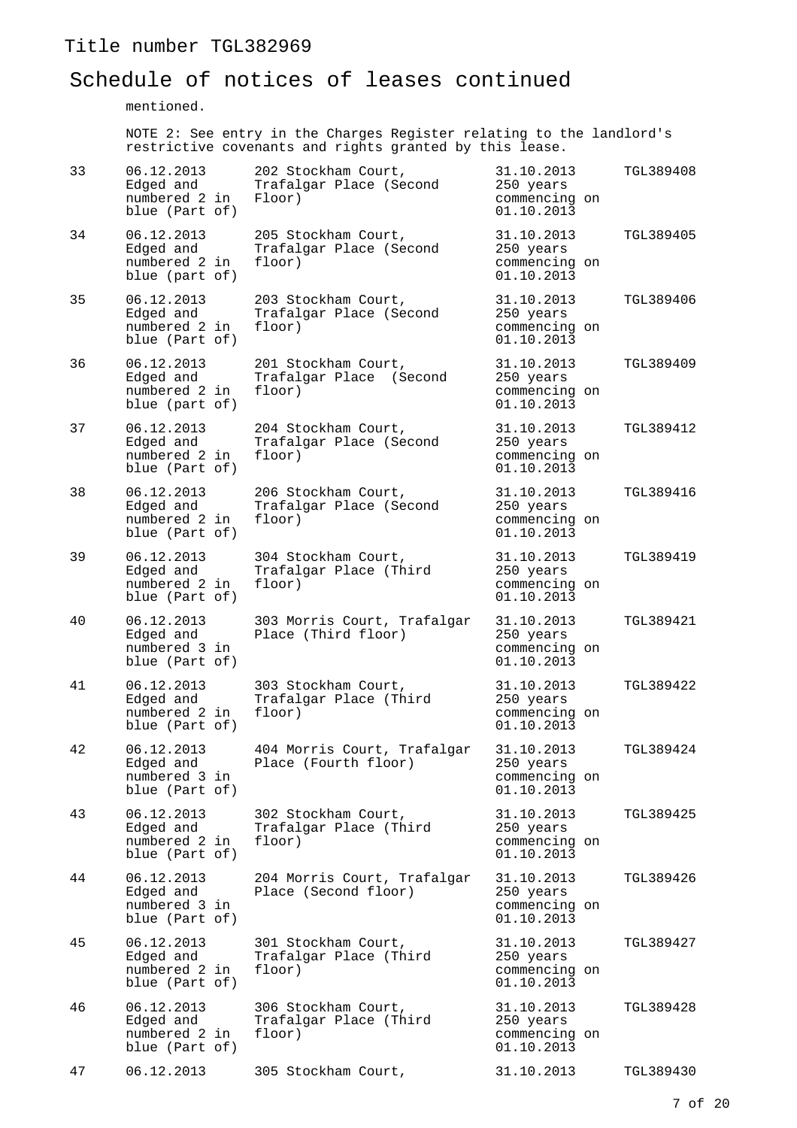#### Schedule of notices of leases continued

mentioned.

NOTE 2: See entry in the Charges Register relating to the landlord's restrictive covenants and rights granted by this lease.

| 33 | 06.12.2013<br>Edged and<br>numbered 2 in<br>blue (Part of) | 202 Stockham Court,<br>Trafalgar Place (Second<br>Floor) | 31.10.2013<br>250 years<br>commencing on<br>01.10.2013 | TGL389408 |
|----|------------------------------------------------------------|----------------------------------------------------------|--------------------------------------------------------|-----------|
| 34 | 06.12.2013<br>Edged and<br>numbered 2 in<br>blue (part of) | 205 Stockham Court,<br>Trafalgar Place (Second<br>floor) | 31.10.2013<br>250 years<br>commencing on<br>01.10.2013 | TGL389405 |
| 35 | 06.12.2013<br>Edged and<br>numbered 2 in<br>blue (Part of) | 203 Stockham Court,<br>Trafalgar Place (Second<br>floor) | 31.10.2013<br>250 years<br>commencing on<br>01.10.2013 | TGL389406 |
| 36 | 06.12.2013<br>Edged and<br>numbered 2 in<br>blue (part of) | 201 Stockham Court,<br>Trafalgar Place (Second<br>floor) | 31.10.2013<br>250 years<br>commencing on<br>01.10.2013 | TGL389409 |
| 37 | 06.12.2013<br>Edged and<br>numbered 2 in<br>blue (Part of) | 204 Stockham Court,<br>Trafalgar Place (Second<br>floor) | 31.10.2013<br>250 years<br>commencing on<br>01.10.2013 | TGL389412 |
| 38 | 06.12.2013<br>Edged and<br>numbered 2 in<br>blue (Part of) | 206 Stockham Court,<br>Trafalgar Place (Second<br>floor) | 31.10.2013<br>250 years<br>commencing on<br>01.10.2013 | TGL389416 |
| 39 | 06.12.2013<br>Edged and<br>numbered 2 in<br>blue (Part of) | 304 Stockham Court,<br>Trafalgar Place (Third<br>floor)  | 31.10.2013<br>250 years<br>commencing on<br>01.10.2013 | TGL389419 |
| 40 | 06.12.2013<br>Edged and<br>numbered 3 in<br>blue (Part of) | 303 Morris Court, Trafalgar<br>Place (Third floor)       | 31.10.2013<br>250 years<br>commencing on<br>01.10.2013 | TGL389421 |
| 41 | 06.12.2013<br>Edged and<br>numbered 2 in<br>blue (Part of) | 303 Stockham Court,<br>Trafalgar Place (Third<br>floor)  | 31.10.2013<br>250 years<br>commencing on<br>01.10.2013 | TGL389422 |
| 42 | 06.12.2013<br>Edged and<br>numbered 3 in<br>blue (Part of) | 404 Morris Court, Trafalgar<br>Place (Fourth floor)      | 31.10.2013<br>250 years<br>commencing on<br>01.10.2013 | TGL389424 |
| 43 | 06.12.2013<br>Edged and<br>numbered 2 in<br>blue (Part of) | 302 Stockham Court,<br>Trafalgar Place (Third<br>floor)  | 31.10.2013<br>250 years<br>commencing on<br>01.10.2013 | TGL389425 |
| 44 | 06.12.2013<br>Edged and<br>numbered 3 in<br>blue (Part of) | 204 Morris Court, Trafalgar<br>Place (Second floor)      | 31.10.2013<br>250 years<br>commencing on<br>01.10.2013 | TGL389426 |
| 45 | 06.12.2013<br>Edged and<br>numbered 2 in<br>blue (Part of) | 301 Stockham Court,<br>Trafalgar Place (Third<br>floor)  | 31.10.2013<br>250 years<br>commencing on<br>01.10.2013 | TGL389427 |
| 46 | 06.12.2013<br>Edged and<br>numbered 2 in<br>blue (Part of) | 306 Stockham Court,<br>Trafalgar Place (Third<br>floor)  | 31.10.2013<br>250 years<br>commencing on<br>01.10.2013 | TGL389428 |
| 47 | 06.12.2013                                                 | 305 Stockham Court,                                      | 31.10.2013                                             | TGL389430 |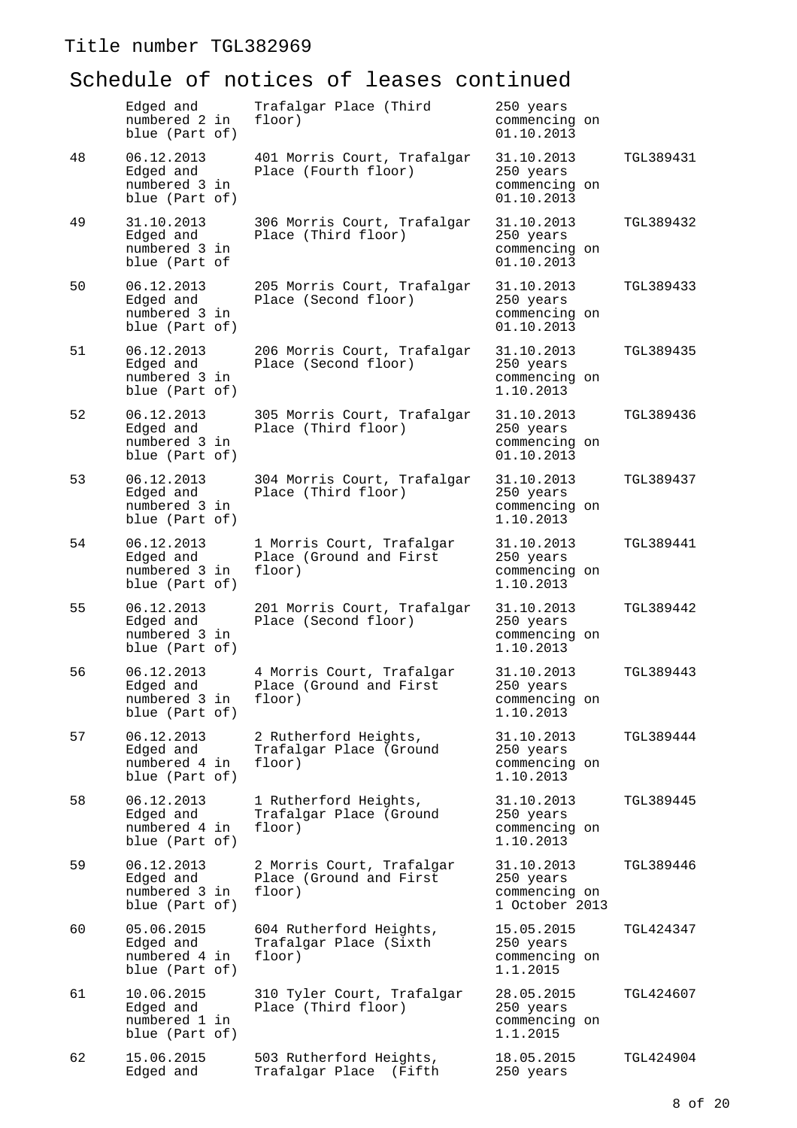|    | Edged and<br>numbered 2 in<br>blue (Part of)               | Trafalgar Place (Third<br>floor)                               | 250 years<br>commencing on<br>01.10.2013                   |           |
|----|------------------------------------------------------------|----------------------------------------------------------------|------------------------------------------------------------|-----------|
| 48 | 06.12.2013<br>Edged and<br>numbered 3 in<br>blue (Part of) | 401 Morris Court, Trafalgar<br>Place (Fourth floor)            | 31.10.2013<br>250 years<br>commencing on<br>01.10.2013     | TGL389431 |
| 49 | 31.10.2013<br>Edged and<br>numbered 3 in<br>blue (Part of  | 306 Morris Court, Trafalgar<br>Place (Third floor)             | 31.10.2013<br>250 years<br>commencing on<br>01.10.2013     | TGL389432 |
| 50 | 06.12.2013<br>Edged and<br>numbered 3 in<br>blue (Part of) | 205 Morris Court, Trafalgar<br>Place (Second floor)            | 31.10.2013<br>250 years<br>commencing on<br>01.10.2013     | TGL389433 |
| 51 | 06.12.2013<br>Edged and<br>numbered 3 in<br>blue (Part of) | 206 Morris Court, Trafalgar<br>Place (Second floor)            | 31.10.2013<br>250 years<br>commencing on<br>1.10.2013      | TGL389435 |
| 52 | 06.12.2013<br>Edged and<br>numbered 3 in<br>blue (Part of) | 305 Morris Court, Trafalgar<br>Place (Third floor)             | 31.10.2013<br>250 years<br>commencing on<br>01.10.2013     | TGL389436 |
| 53 | 06.12.2013<br>Edged and<br>numbered 3 in<br>blue (Part of) | 304 Morris Court, Trafalgar<br>Place (Third floor)             | 31.10.2013<br>250 years<br>commencing on<br>1.10.2013      | TGL389437 |
| 54 | 06.12.2013<br>Edged and<br>numbered 3 in<br>blue (Part of) | 1 Morris Court, Trafalgar<br>Place (Ground and First<br>floor) | 31.10.2013<br>250 years<br>commencing on<br>1.10.2013      | TGL389441 |
| 55 | 06.12.2013<br>Edged and<br>numbered 3 in<br>blue (Part of) | 201 Morris Court, Trafalgar<br>Place (Second floor)            | 31.10.2013<br>250 years<br>commencing on<br>1.10.2013      | TGL389442 |
| 56 | 06.12.2013<br>Edged and<br>numbered 3 in<br>blue (Part of) | 4 Morris Court, Trafalgar<br>Place (Ground and First<br>floor) | 31.10.2013<br>250 years<br>commencing on<br>1.10.2013      | TGL389443 |
| 57 | 06.12.2013<br>Edged and<br>numbered 4 in<br>blue (Part of) | 2 Rutherford Heights,<br>Trafalgar Place (Ground<br>floor)     | 31.10.2013<br>250 years<br>commencing on<br>1.10.2013      | TGL389444 |
| 58 | 06.12.2013<br>Edged and<br>numbered 4 in<br>blue (Part of) | 1 Rutherford Heights,<br>Trafalgar Place (Ground<br>floor)     | 31.10.2013<br>250 years<br>commencing on<br>1.10.2013      | TGL389445 |
| 59 | 06.12.2013<br>Edged and<br>numbered 3 in<br>blue (Part of) | 2 Morris Court, Trafalgar<br>Place (Ground and First<br>floor) | 31.10.2013<br>250 years<br>commencing on<br>1 October 2013 | TGL389446 |
| 60 | 05.06.2015<br>Edged and<br>numbered 4 in<br>blue (Part of) | 604 Rutherford Heights,<br>Trafalgar Place (Sixth<br>floor)    | 15.05.2015<br>250 years<br>commencing on<br>1.1.2015       | TGL424347 |
| 61 | 10.06.2015<br>Edged and<br>numbered 1 in<br>blue (Part of) | 310 Tyler Court, Trafalgar<br>Place (Third floor)              | 28.05.2015<br>250 years<br>commencing on<br>1.1.2015       | TGL424607 |
| 62 | 15.06.2015<br>Edged and                                    | 503 Rutherford Heights,<br>Trafalgar Place<br>(Fifth           | 18.05.2015<br>250 years                                    | TGL424904 |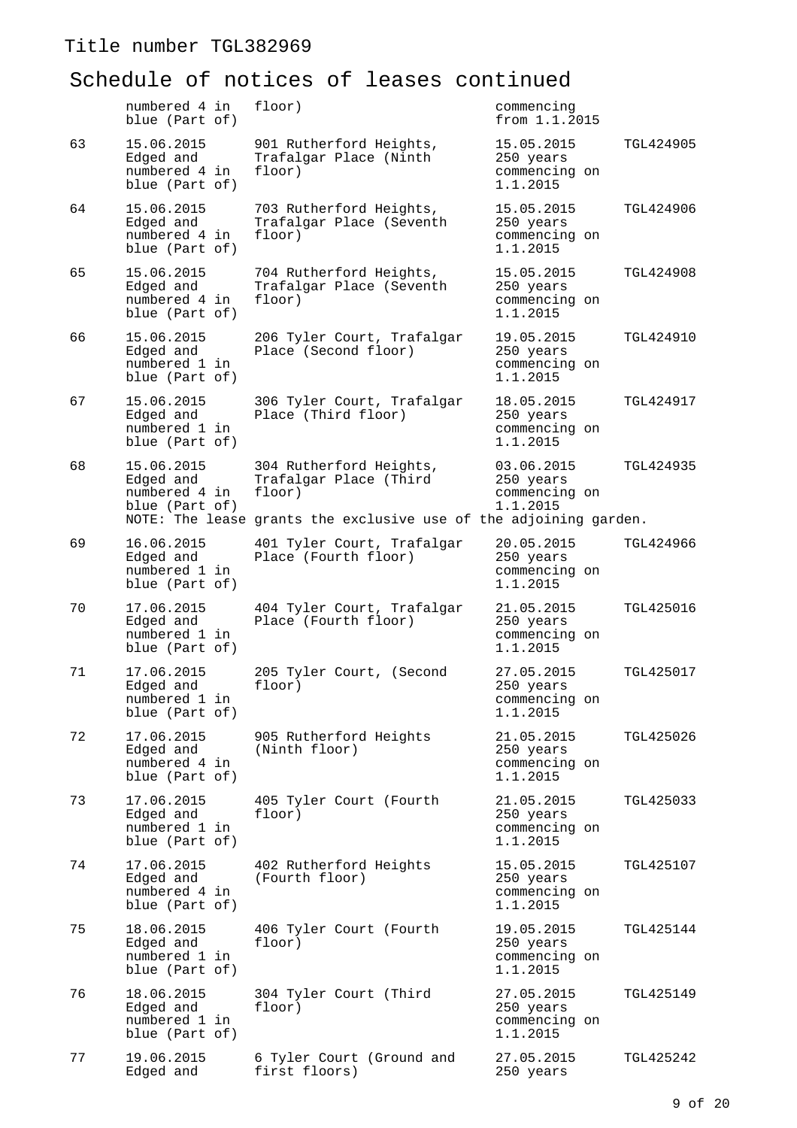|    | numbered 4 in<br>blue (Part of)                            | floor)                                                            | commencing<br>from 1.1.2015                          |                  |
|----|------------------------------------------------------------|-------------------------------------------------------------------|------------------------------------------------------|------------------|
| 63 | 15.06.2015<br>Edged and<br>numbered 4 in<br>blue (Part of) | 901 Rutherford Heights,<br>Trafalgar Place (Ninth<br>floor)       | 15.05.2015<br>250 years<br>commencing on<br>1.1.2015 | TGL424905        |
| 64 | 15.06.2015<br>Edged and<br>numbered 4 in<br>blue (Part of) | 703 Rutherford Heights,<br>Trafalgar Place (Seventh<br>floor)     | 15.05.2015<br>250 years<br>commencing on<br>1.1.2015 | TGL424906        |
| 65 | 15.06.2015<br>Edged and<br>numbered 4 in<br>blue (Part of) | 704 Rutherford Heights,<br>Trafalgar Place (Seventh<br>floor)     | 15.05.2015<br>250 years<br>commencing on<br>1.1.2015 | <b>TGL424908</b> |
| 66 | 15.06.2015<br>Edged and<br>numbered 1 in<br>blue (Part of) | 206 Tyler Court, Trafalgar<br>Place (Second floor)                | 19.05.2015<br>250 years<br>commencing on<br>1.1.2015 | <b>TGL424910</b> |
| 67 | 15.06.2015<br>Edged and<br>numbered 1 in<br>blue (Part of) | 306 Tyler Court, Trafalgar<br>Place (Third floor)                 | 18.05.2015<br>250 years<br>commencing on<br>1.1.2015 | TGL424917        |
| 68 | 15.06.2015<br>Edged and<br>numbered 4 in<br>blue (Part of) | 304 Rutherford Heights,<br>Trafalgar Place (Third<br>floor)       | 03.06.2015<br>250 years<br>commencing on<br>1.1.2015 | TGL424935        |
|    |                                                            | NOTE: The lease grants the exclusive use of the adjoining garden. |                                                      |                  |
| 69 | 16.06.2015<br>Edged and<br>numbered 1 in<br>blue (Part of) | 401 Tyler Court, Trafalgar<br>Place (Fourth floor)                | 20.05.2015<br>250 years<br>commencing on<br>1.1.2015 | TGL424966        |
| 70 | 17.06.2015<br>Edged and<br>numbered 1 in<br>blue (Part of) | 404 Tyler Court, Trafalgar<br>Place (Fourth floor)                | 21.05.2015<br>250 years<br>commencing on<br>1.1.2015 | <b>TGL425016</b> |
| 71 | 17.06.2015<br>Edged and<br>numbered 1 in<br>blue (Part of) | 205 Tyler Court, (Second<br>floor)                                | 27.05.2015<br>250 years<br>commencing on<br>1.1.2015 | <b>TGL425017</b> |
| 72 | 17.06.2015<br>Edged and<br>numbered 4 in<br>blue (Part of) | 905 Rutherford Heights<br>(Ninth floor)                           | 21.05.2015<br>250 years<br>commencing on<br>1.1.2015 | TGL425026        |
| 73 | 17.06.2015<br>Edged and<br>numbered 1 in<br>blue (Part of) | 405 Tyler Court (Fourth<br>floor)                                 | 21.05.2015<br>250 years<br>commencing on<br>1.1.2015 | TGL425033        |
| 74 | 17.06.2015<br>Edged and<br>numbered 4 in<br>blue (Part of) | 402 Rutherford Heights<br>(Fourth floor)                          | 15.05.2015<br>250 years<br>commencing on<br>1.1.2015 | TGL425107        |
| 75 | 18.06.2015<br>Edged and<br>numbered 1 in<br>blue (Part of) | 406 Tyler Court (Fourth<br>floor)                                 | 19.05.2015<br>250 years<br>commencing on<br>1.1.2015 | <b>TGL425144</b> |
| 76 | 18.06.2015<br>Edged and<br>numbered 1 in<br>blue (Part of) | 304 Tyler Court (Third<br>floor)                                  | 27.05.2015<br>250 years<br>commencing on<br>1.1.2015 | TGL425149        |
| 77 | 19.06.2015<br>Edged and                                    | 6 Tyler Court (Ground and<br>first floors)                        | 27.05.2015<br>250 years                              | TGL425242        |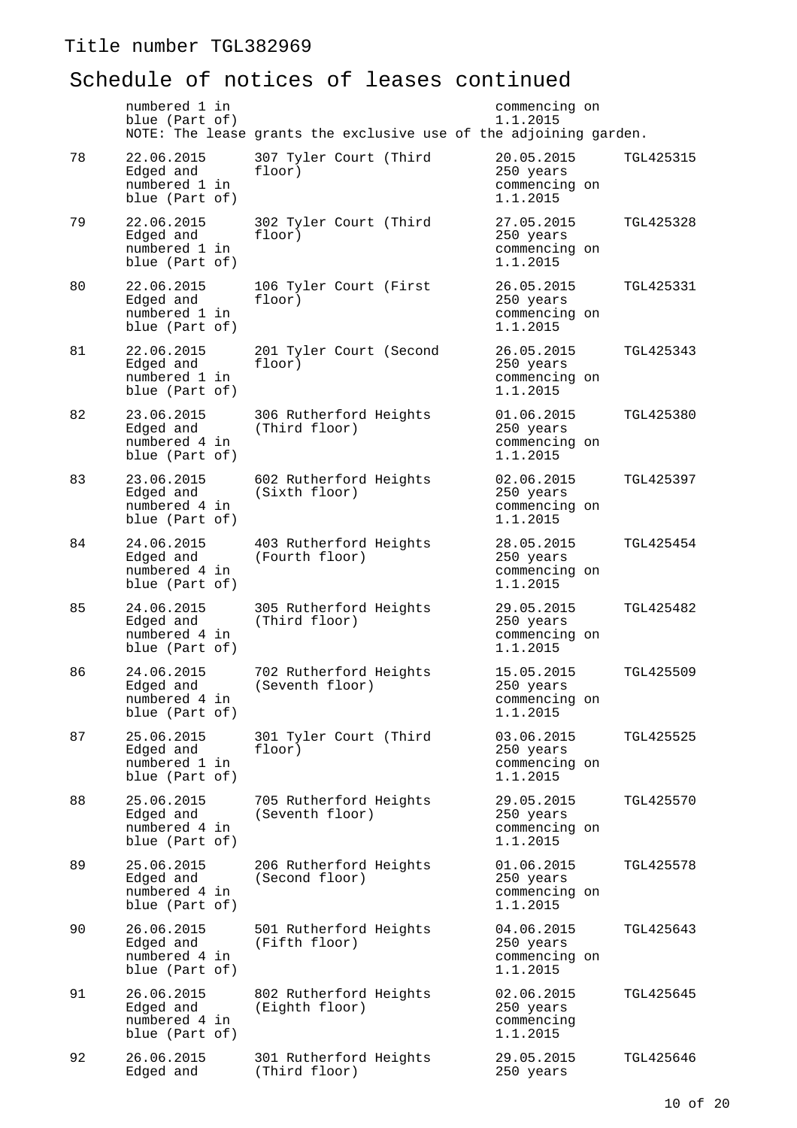|    | numbered 1 in<br>blue (Part of)                            | NOTE: The lease grants the exclusive use of the adjoining garden. | commencing on<br>1.1.2015                            |                  |
|----|------------------------------------------------------------|-------------------------------------------------------------------|------------------------------------------------------|------------------|
| 78 | 22.06.2015<br>Edged and<br>numbered 1 in<br>blue (Part of) | 307 Tyler Court (Third<br>floor)                                  | 20.05.2015<br>250 years<br>commencing on<br>1.1.2015 | TGL425315        |
| 79 | 22.06.2015<br>Edged and<br>numbered 1 in<br>blue (Part of) | 302 Tyler Court (Third<br>floor)                                  | 27.05.2015<br>250 years<br>commencing on<br>1.1.2015 | TGL425328        |
| 80 | 22.06.2015<br>Edged and<br>numbered 1 in<br>blue (Part of) | 106 Tyler Court (First<br>floor)                                  | 26.05.2015<br>250 years<br>commencing on<br>1.1.2015 | TGL425331        |
| 81 | 22.06.2015<br>Edged and<br>numbered 1 in<br>blue (Part of) | 201 Tyler Court (Second<br>floor)                                 | 26.05.2015<br>250 years<br>commencing on<br>1.1.2015 | TGL425343        |
| 82 | 23.06.2015<br>Edged and<br>numbered 4 in<br>blue (Part of) | 306 Rutherford Heights<br>(Third floor)                           | 01.06.2015<br>250 years<br>commencing on<br>1.1.2015 | TGL425380        |
| 83 | 23.06.2015<br>Edged and<br>numbered 4 in<br>blue (Part of) | 602 Rutherford Heights<br>(Sixth floor)                           | 02.06.2015<br>250 years<br>commencing on<br>1.1.2015 | TGL425397        |
| 84 | 24.06.2015<br>Edged and<br>numbered 4 in<br>blue (Part of) | 403 Rutherford Heights<br>(Fourth floor)                          | 28.05.2015<br>250 years<br>commencing on<br>1.1.2015 | TGL425454        |
| 85 | 24.06.2015<br>Edged and<br>numbered 4 in<br>blue (Part of) | 305 Rutherford Heights<br>(Third floor)                           | 29.05.2015<br>250 years<br>commencing on<br>1.1.2015 | TGL425482        |
| 86 | 24.06.2015<br>Edged and<br>numbered 4 in<br>blue (Part of) | 702 Rutherford Heights<br>(Seventh floor)                         | 15.05.2015<br>250 years<br>commencing on<br>1.1.2015 | TGL425509        |
| 87 | 25.06.2015<br>Edged and<br>numbered 1 in<br>blue (Part of) | 301 Tyler Court (Third<br>floor)                                  | 03.06.2015<br>250 years<br>commencing on<br>1.1.2015 | TGL425525        |
| 88 | 25.06.2015<br>Edged and<br>numbered 4 in<br>blue (Part of) | 705 Rutherford Heights<br>(Seventh floor)                         | 29.05.2015<br>250 years<br>commencing on<br>1.1.2015 | <b>TGL425570</b> |
| 89 | 25.06.2015<br>Edged and<br>numbered 4 in<br>blue (Part of) | 206 Rutherford Heights<br>(Second floor)                          | 01.06.2015<br>250 years<br>commencing on<br>1.1.2015 | <b>TGL425578</b> |
| 90 | 26.06.2015<br>Edged and<br>numbered 4 in<br>blue (Part of) | 501 Rutherford Heights<br>(Fifth floor)                           | 04.06.2015<br>250 years<br>commencing on<br>1.1.2015 | TGL425643        |
| 91 | 26.06.2015<br>Edged and<br>numbered 4 in<br>blue (Part of) | 802 Rutherford Heights<br>(Eighth floor)                          | 02.06.2015<br>250 years<br>commencing<br>1.1.2015    | TGL425645        |
| 92 | 26.06.2015<br>Edged and                                    | 301 Rutherford Heights<br>(Third floor)                           | 29.05.2015<br>250 years                              | TGL425646        |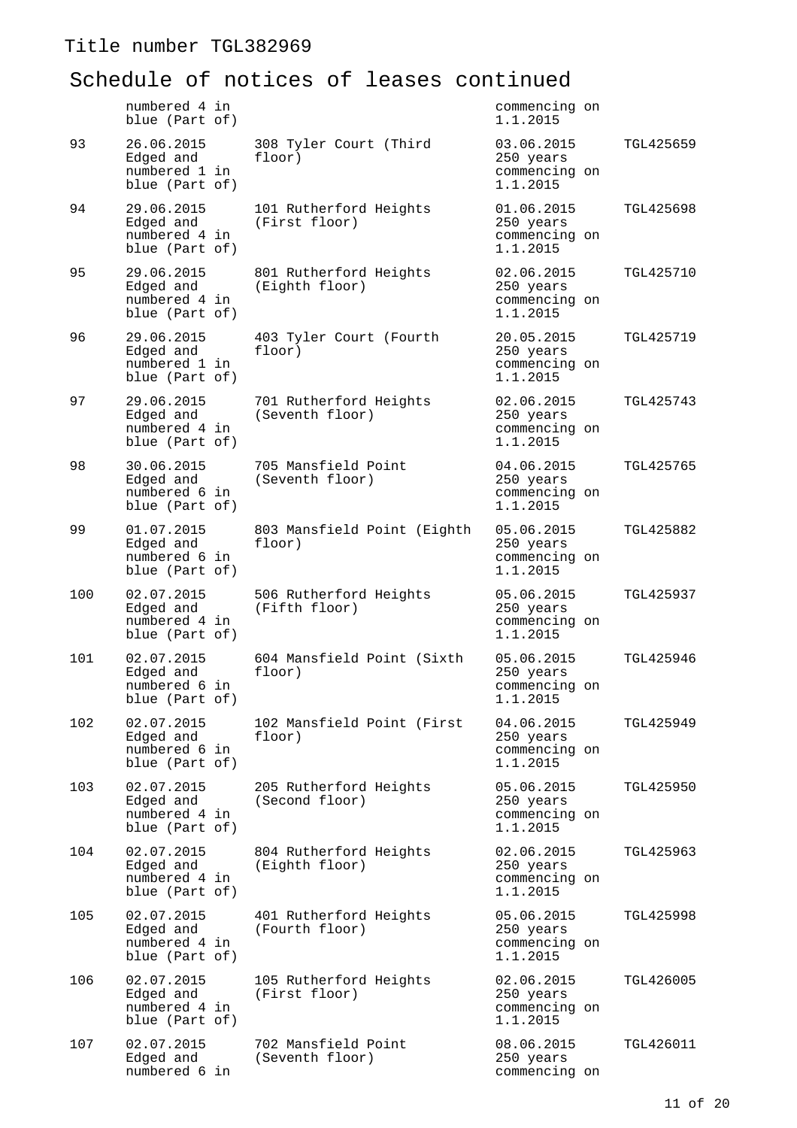|     | numbered 4 in<br>blue (Part of)                            |                                           | commencing on<br>1.1.2015                            |           |
|-----|------------------------------------------------------------|-------------------------------------------|------------------------------------------------------|-----------|
| 93  | 26.06.2015<br>Edged and<br>numbered 1 in<br>blue (Part of) | 308 Tyler Court (Third<br>floor)          | 03.06.2015<br>250 years<br>commencing on<br>1.1.2015 | TGL425659 |
| 94  | 29.06.2015<br>Edged and<br>numbered 4 in<br>blue (Part of) | 101 Rutherford Heights<br>(First floor)   | 01.06.2015<br>250 years<br>commencing on<br>1.1.2015 | TGL425698 |
| 95  | 29.06.2015<br>Edged and<br>numbered 4 in<br>blue (Part of) | 801 Rutherford Heights<br>(Eighth floor)  | 02.06.2015<br>250 years<br>commencing on<br>1.1.2015 | TGL425710 |
| 96  | 29.06.2015<br>Edged and<br>numbered 1 in<br>blue (Part of) | 403 Tyler Court (Fourth<br>floor)         | 20.05.2015<br>250 years<br>commencing on<br>1.1.2015 | TGL425719 |
| 97  | 29.06.2015<br>Edged and<br>numbered 4 in<br>blue (Part of) | 701 Rutherford Heights<br>(Seventh floor) | 02.06.2015<br>250 years<br>commencing on<br>1.1.2015 | TGL425743 |
| 98  | 30.06.2015<br>Edged and<br>numbered 6 in<br>blue (Part of) | 705 Mansfield Point<br>(Seventh floor)    | 04.06.2015<br>250 years<br>commencing on<br>1.1.2015 | TGL425765 |
| 99  | 01.07.2015<br>Edged and<br>numbered 6 in<br>blue (Part of) | 803 Mansfield Point (Eighth<br>floor)     | 05.06.2015<br>250 years<br>commencing on<br>1.1.2015 | TGL425882 |
| 100 | 02.07.2015<br>Edged and<br>numbered 4 in<br>blue (Part of) | 506 Rutherford Heights<br>(Fifth floor)   | 05.06.2015<br>250 years<br>commencing on<br>1.1.2015 | TGL425937 |
| 101 | 02.07.2015<br>Edged and<br>numbered 6 in<br>blue (Part of) | 604 Mansfield Point (Sixth<br>floor)      | 05.06.2015<br>250 years<br>commencing on<br>1.1.2015 | TGL425946 |
| 102 | 02.07.2015<br>Edged and<br>numbered 6 in<br>blue (Part of) | 102 Mansfield Point (First<br>floor)      | 04.06.2015<br>250 years<br>commencing on<br>1.1.2015 | TGL425949 |
| 103 | 02.07.2015<br>Edged and<br>numbered 4 in<br>blue (Part of) | 205 Rutherford Heights<br>(Second floor)  | 05.06.2015<br>250 years<br>commencing on<br>1.1.2015 | TGL425950 |
| 104 | 02.07.2015<br>Edged and<br>numbered 4 in<br>blue (Part of) | 804 Rutherford Heights<br>(Eighth floor)  | 02.06.2015<br>250 years<br>commencing on<br>1.1.2015 | TGL425963 |
| 105 | 02.07.2015<br>Edged and<br>numbered 4 in<br>blue (Part of) | 401 Rutherford Heights<br>(Fourth floor)  | 05.06.2015<br>250 years<br>commencing on<br>1.1.2015 | TGL425998 |
| 106 | 02.07.2015<br>Edged and<br>numbered 4 in<br>blue (Part of) | 105 Rutherford Heights<br>(First floor)   | 02.06.2015<br>250 years<br>commencing on<br>1.1.2015 | TGL426005 |
| 107 | 02.07.2015<br>Edged and<br>numbered 6 in                   | 702 Mansfield Point<br>(Seventh floor)    | 08.06.2015<br>250 years<br>commencing on             | TGL426011 |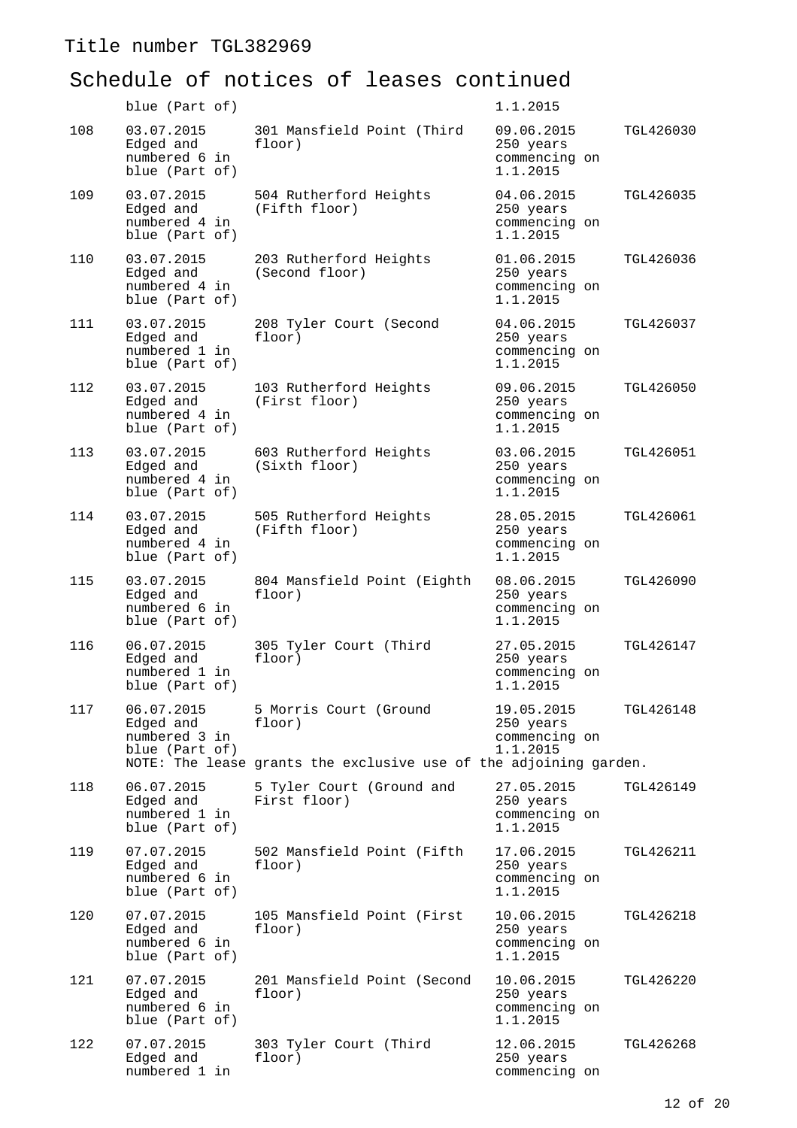|     | blue (Part of)                                             |                                                                                                       | 1.1.2015                                             |           |
|-----|------------------------------------------------------------|-------------------------------------------------------------------------------------------------------|------------------------------------------------------|-----------|
| 108 | 03.07.2015<br>Edged and<br>numbered 6 in<br>blue (Part of) | 301 Mansfield Point (Third<br>floor)                                                                  | 09.06.2015<br>250 years<br>commencing on<br>1.1.2015 | TGL426030 |
| 109 | 03.07.2015<br>Edged and<br>numbered 4 in<br>blue (Part of) | 504 Rutherford Heights<br>(Fifth floor)                                                               | 04.06.2015<br>250 years<br>commencing on<br>1.1.2015 | TGL426035 |
| 110 | 03.07.2015<br>Edged and<br>numbered 4 in<br>blue (Part of) | 203 Rutherford Heights<br>(Second floor)                                                              | 01.06.2015<br>250 years<br>commencing on<br>1.1.2015 | TGL426036 |
| 111 | 03.07.2015<br>Edged and<br>numbered 1 in<br>blue (Part of) | 208 Tyler Court (Second<br>floor)                                                                     | 04.06.2015<br>250 years<br>commencing on<br>1.1.2015 | TGL426037 |
| 112 | 03.07.2015<br>Edged and<br>numbered 4 in<br>blue (Part of) | 103 Rutherford Heights<br>(First floor)                                                               | 09.06.2015<br>250 years<br>commencing on<br>1.1.2015 | TGL426050 |
| 113 | 03.07.2015<br>Edged and<br>numbered 4 in<br>blue (Part of) | 603 Rutherford Heights<br>(Sixth floor)                                                               | 03.06.2015<br>250 years<br>commencing on<br>1.1.2015 | TGL426051 |
| 114 | 03.07.2015<br>Edged and<br>numbered 4 in<br>blue (Part of) | 505 Rutherford Heights<br>(Fifth floor)                                                               | 28.05.2015<br>250 years<br>commencing on<br>1.1.2015 | TGL426061 |
| 115 | 03.07.2015<br>Edged and<br>numbered 6 in<br>blue (Part of) | 804 Mansfield Point (Eighth<br>floor)                                                                 | 08.06.2015<br>250 years<br>commencing on<br>1.1.2015 | TGL426090 |
| 116 | 06.07.2015<br>Edged and<br>numbered 1 in<br>blue (Part of) | 305 Tyler Court (Third<br>floor)                                                                      | 27.05.2015<br>250 years<br>commencing on<br>1.1.2015 | TGL426147 |
| 117 | 06.07.2015<br>Edged and<br>numbered 3 in<br>blue (Part of) | 5 Morris Court (Ground<br>floor)<br>NOTE: The lease grants the exclusive use of the adjoining garden. | 19.05.2015<br>250 years<br>commencing on<br>1.1.2015 | TGL426148 |
| 118 | 06.07.2015<br>Edged and<br>numbered 1 in<br>blue (Part of) | 5 Tyler Court (Ground and<br>First floor)                                                             | 27.05.2015<br>250 years<br>commencing on<br>1.1.2015 | TGL426149 |
| 119 | 07.07.2015<br>Edged and<br>numbered 6 in<br>blue (Part of) | 502 Mansfield Point (Fifth<br>floor)                                                                  | 17.06.2015<br>250 years<br>commencing on<br>1.1.2015 | TGL426211 |
| 120 | 07.07.2015<br>Edged and<br>numbered 6 in<br>blue (Part of) | 105 Mansfield Point (First<br>floor)                                                                  | 10.06.2015<br>250 years<br>commencing on<br>1.1.2015 | TGL426218 |
| 121 | 07.07.2015<br>Edged and<br>numbered 6 in<br>blue (Part of) | 201 Mansfield Point (Second<br>floor)                                                                 | 10.06.2015<br>250 years<br>commencing on<br>1.1.2015 | TGL426220 |
| 122 | 07.07.2015<br>Edged and<br>numbered 1 in                   | 303 Tyler Court (Third<br>floor)                                                                      | 12.06.2015<br>250 years<br>commencing on             | TGL426268 |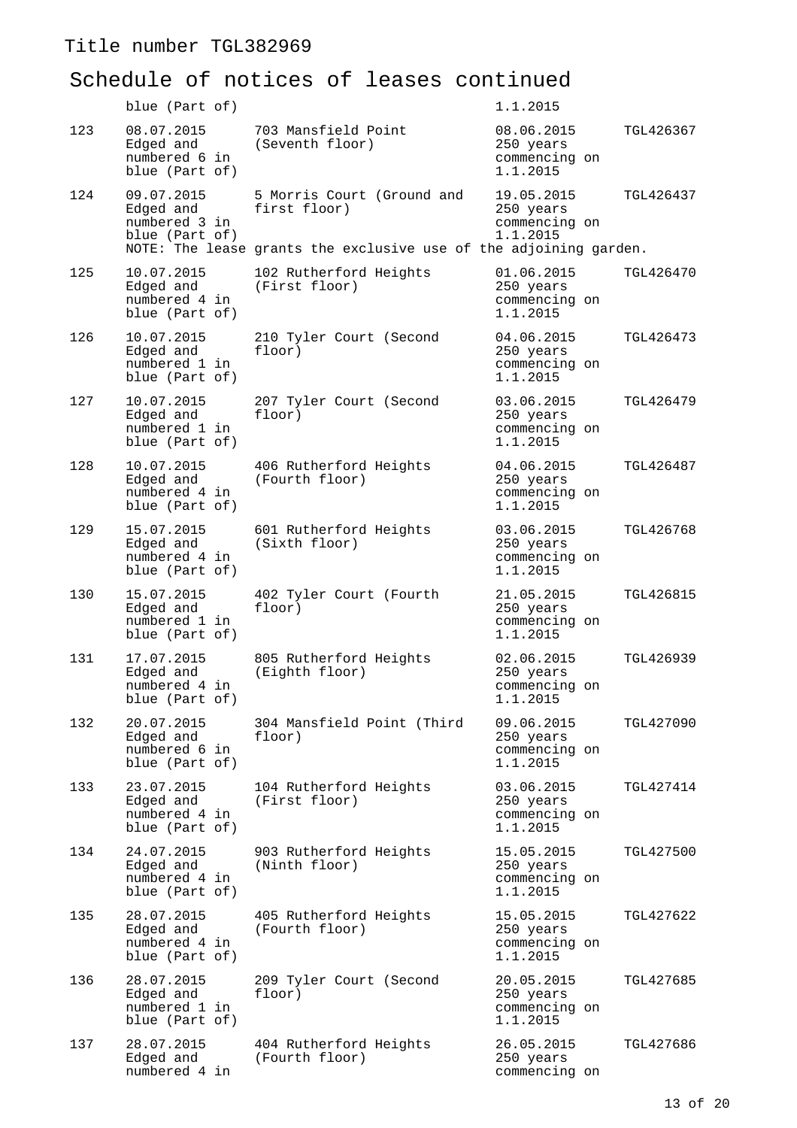|     | blue (Part of)                                             |                                                                                                                 | 1.1.2015                                             |                  |
|-----|------------------------------------------------------------|-----------------------------------------------------------------------------------------------------------------|------------------------------------------------------|------------------|
| 123 | 08.07.2015<br>Edged and<br>numbered 6 in<br>blue (Part of) | 703 Mansfield Point<br>(Seventh floor)                                                                          | 08.06.2015<br>250 years<br>commencing on<br>1.1.2015 | TGL426367        |
| 124 | 09.07.2015<br>Edged and<br>numbered 3 in<br>blue (Part of) | 5 Morris Court (Ground and<br>first floor)<br>NOTE: The lease grants the exclusive use of the adjoining garden. | 19.05.2015<br>250 years<br>commencing on<br>1.1.2015 | TGL426437        |
| 125 | 10.07.2015<br>Edged and<br>numbered 4 in<br>blue (Part of) | 102 Rutherford Heights<br>(First floor)                                                                         | 01.06.2015<br>250 years<br>commencing on<br>1.1.2015 | TGL426470        |
| 126 | 10.07.2015<br>Edged and<br>numbered 1 in<br>blue (Part of) | 210 Tyler Court (Second<br>floor)                                                                               | 04.06.2015<br>250 years<br>commencing on<br>1.1.2015 | TGL426473        |
| 127 | 10.07.2015<br>Edged and<br>numbered 1 in<br>blue (Part of) | 207 Tyler Court (Second<br>floor)                                                                               | 03.06.2015<br>250 years<br>commencing on<br>1.1.2015 | TGL426479        |
| 128 | 10.07.2015<br>Edged and<br>numbered 4 in<br>blue (Part of) | 406 Rutherford Heights<br>(Fourth floor)                                                                        | 04.06.2015<br>250 years<br>commencing on<br>1.1.2015 | TGL426487        |
| 129 | 15.07.2015<br>Edged and<br>numbered 4 in<br>blue (Part of) | 601 Rutherford Heights<br>(Sixth floor)                                                                         | 03.06.2015<br>250 years<br>commencing on<br>1.1.2015 | TGL426768        |
| 130 | 15.07.2015<br>Edged and<br>numbered 1 in<br>blue (Part of) | 402 Tyler Court (Fourth<br>floor)                                                                               | 21.05.2015<br>250 years<br>commencing on<br>1.1.2015 | <b>TGL426815</b> |
| 131 | 17.07.2015<br>Edged and<br>numbered 4 in<br>blue (Part of) | 805 Rutherford Heights<br>(Eighth floor)                                                                        | 02.06.2015<br>250 years<br>commencing on<br>1.1.2015 | TGL426939        |
| 132 | 20.07.2015<br>Edged and<br>numbered 6 in<br>blue (Part of) | 304 Mansfield Point (Third<br>floor)                                                                            | 09.06.2015<br>250 years<br>commencing on<br>1.1.2015 | TGL427090        |
| 133 | 23.07.2015<br>Edged and<br>numbered 4 in<br>blue (Part of) | 104 Rutherford Heights<br>(First floor)                                                                         | 03.06.2015<br>250 years<br>commencing on<br>1.1.2015 | TGL427414        |
| 134 | 24.07.2015<br>Edged and<br>numbered 4 in<br>blue (Part of) | 903 Rutherford Heights<br>(Ninth floor)                                                                         | 15.05.2015<br>250 years<br>commencing on<br>1.1.2015 | <b>TGL427500</b> |
| 135 | 28.07.2015<br>Edged and<br>numbered 4 in<br>blue (Part of) | 405 Rutherford Heights<br>(Fourth floor)                                                                        | 15.05.2015<br>250 years<br>commencing on<br>1.1.2015 | TGL427622        |
| 136 | 28.07.2015<br>Edged and<br>numbered 1 in<br>blue (Part of) | 209 Tyler Court (Second<br>floor)                                                                               | 20.05.2015<br>250 years<br>commencing on<br>1.1.2015 | TGL427685        |
| 137 | 28.07.2015<br>Edged and<br>numbered 4 in                   | 404 Rutherford Heights<br>(Fourth floor)                                                                        | 26.05.2015<br>250 years<br>commencing on             | TGL427686        |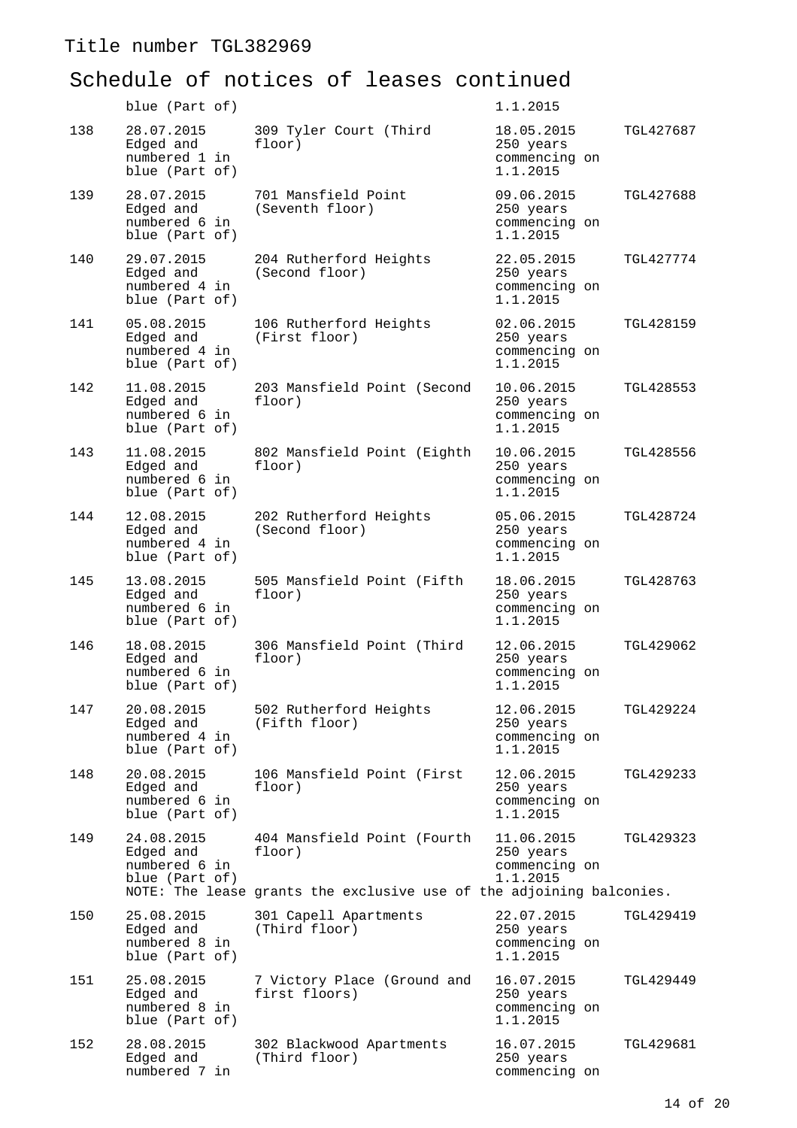|     | blue (Part of)                                             |                                                                                                               | 1.1.2015                                                          |
|-----|------------------------------------------------------------|---------------------------------------------------------------------------------------------------------------|-------------------------------------------------------------------|
| 138 | 28.07.2015<br>Edged and<br>numbered 1 in<br>blue (Part of) | 309 Tyler Court (Third<br>floor)                                                                              | 18.05.2015<br>TGL427687<br>250 years<br>commencing on<br>1.1.2015 |
| 139 | 28.07.2015<br>Edged and<br>numbered 6 in<br>blue (Part of) | 701 Mansfield Point<br>(Seventh floor)                                                                        | 09.06.2015<br>TGL427688<br>250 years<br>commencing on<br>1.1.2015 |
| 140 | 29.07.2015<br>Edged and<br>numbered 4 in<br>blue (Part of) | 204 Rutherford Heights<br>(Second floor)                                                                      | 22.05.2015<br>TGL427774<br>250 years<br>commencing on<br>1.1.2015 |
| 141 | 05.08.2015<br>Edged and<br>numbered 4 in<br>blue (Part of) | 106 Rutherford Heights<br>(First floor)                                                                       | 02.06.2015<br>TGL428159<br>250 years<br>commencing on<br>1.1.2015 |
| 142 | 11.08.2015<br>Edged and<br>numbered 6 in<br>blue (Part of) | 203 Mansfield Point (Second<br>floor)                                                                         | 10.06.2015<br>TGL428553<br>250 years<br>commencing on<br>1.1.2015 |
| 143 | 11.08.2015<br>Edged and<br>numbered 6 in<br>blue (Part of) | 802 Mansfield Point (Eighth<br>floor)                                                                         | 10.06.2015<br>TGL428556<br>250 years<br>commencing on<br>1.1.2015 |
| 144 | 12.08.2015<br>Edged and<br>numbered 4 in<br>blue (Part of) | 202 Rutherford Heights<br>(Second floor)                                                                      | 05.06.2015<br>TGL428724<br>250 years<br>commencing on<br>1.1.2015 |
| 145 | 13.08.2015<br>Edged and<br>numbered 6 in<br>blue (Part of) | 505 Mansfield Point (Fifth<br>floor)                                                                          | 18.06.2015<br>TGL428763<br>250 years<br>commencing on<br>1.1.2015 |
| 146 | 18.08.2015<br>Edged and<br>numbered 6 in<br>blue (Part of) | 306 Mansfield Point (Third<br>floor)                                                                          | 12.06.2015<br>TGL429062<br>250 years<br>commencing on<br>1.1.2015 |
| 147 | 20.08.2015<br>Edged and<br>numbered 4 in<br>blue (Part of) | 502 Rutherford Heights<br>(Fifth floor)                                                                       | 12.06.2015<br>TGL429224<br>250 years<br>commencing on<br>1.1.2015 |
| 148 | 20.08.2015<br>Edged and<br>numbered 6 in<br>blue (Part of) | 106 Mansfield Point (First<br>floor)                                                                          | 12.06.2015<br>TGL429233<br>250 years<br>commencing on<br>1.1.2015 |
| 149 | 24.08.2015<br>Edged and<br>numbered 6 in<br>blue (Part of) | 404 Mansfield Point (Fourth<br>floor)<br>NOTE: The lease grants the exclusive use of the adjoining balconies. | 11.06.2015<br>TGL429323<br>250 years<br>commencing on<br>1.1.2015 |
|     |                                                            |                                                                                                               |                                                                   |
| 150 | 25.08.2015<br>Edged and<br>numbered 8 in<br>blue (Part of) | 301 Capell Apartments<br>(Third floor)                                                                        | 22.07.2015<br>TGL429419<br>250 years<br>commencing on<br>1.1.2015 |
| 151 | 25.08.2015<br>Edged and<br>numbered 8 in<br>blue (Part of) | 7 Victory Place (Ground and<br>first floors)                                                                  | 16.07.2015<br>TGL429449<br>250 years<br>commencing on<br>1.1.2015 |
| 152 | 28.08.2015<br>Edged and<br>numbered 7 in                   | 302 Blackwood Apartments<br>(Third floor)                                                                     | 16.07.2015<br>TGL429681<br>250 years<br>commencing on             |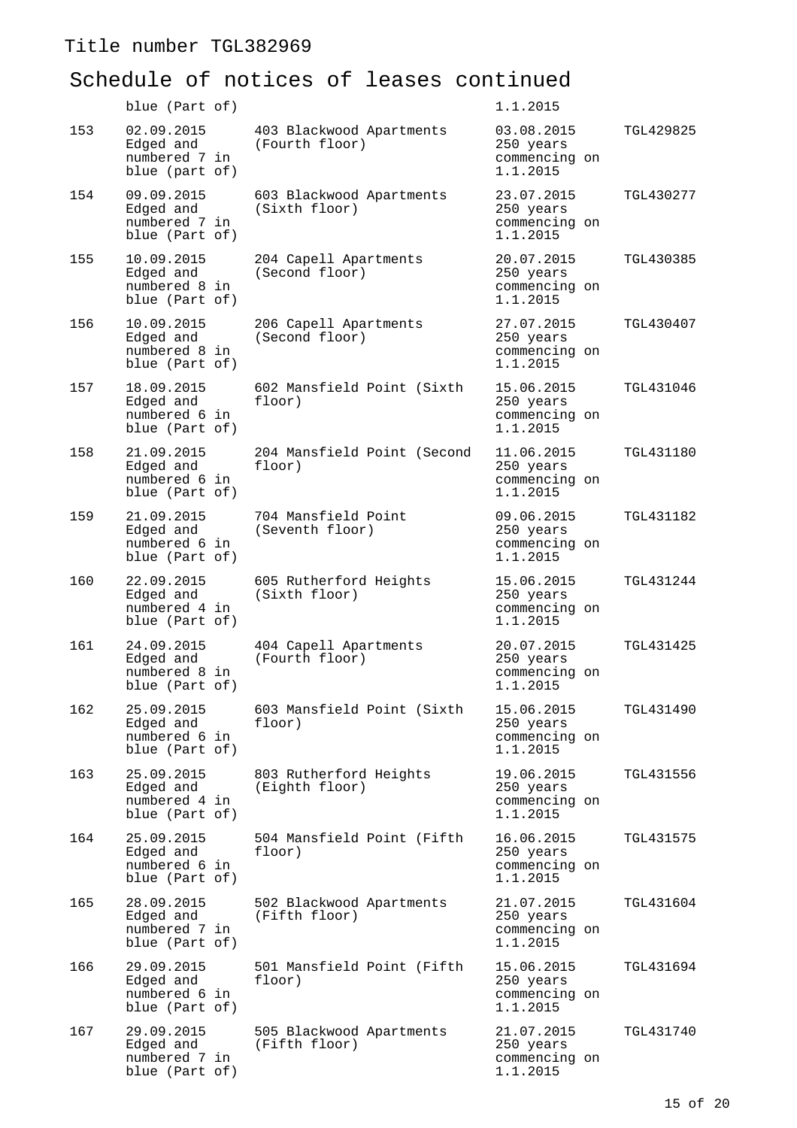|     | blue (Part of)                                             |                                            | 1.1.2015                                             |           |
|-----|------------------------------------------------------------|--------------------------------------------|------------------------------------------------------|-----------|
| 153 | 02.09.2015<br>Edged and<br>numbered 7 in<br>blue (part of) | 403 Blackwood Apartments<br>(Fourth floor) | 03.08.2015<br>250 years<br>commencing on<br>1.1.2015 | TGL429825 |
| 154 | 09.09.2015<br>Edged and<br>numbered 7 in<br>blue (Part of) | 603 Blackwood Apartments<br>(Sixth floor)  | 23.07.2015<br>250 years<br>commencing on<br>1.1.2015 | TGL430277 |
| 155 | 10.09.2015<br>Edged and<br>numbered 8 in<br>blue (Part of) | 204 Capell Apartments<br>(Second floor)    | 20.07.2015<br>250 years<br>commencing on<br>1.1.2015 | TGL430385 |
| 156 | 10.09.2015<br>Edged and<br>numbered 8 in<br>blue (Part of) | 206 Capell Apartments<br>(Second floor)    | 27.07.2015<br>250 years<br>commencing on<br>1.1.2015 | TGL430407 |
| 157 | 18.09.2015<br>Edged and<br>numbered 6 in<br>blue (Part of) | 602 Mansfield Point (Sixth<br>floor)       | 15.06.2015<br>250 years<br>commencing on<br>1.1.2015 | TGL431046 |
| 158 | 21.09.2015<br>Edged and<br>numbered 6 in<br>blue (Part of) | 204 Mansfield Point (Second<br>floor)      | 11.06.2015<br>250 years<br>commencing on<br>1.1.2015 | TGL431180 |
| 159 | 21.09.2015<br>Edged and<br>numbered 6 in<br>blue (Part of) | 704 Mansfield Point<br>(Seventh floor)     | 09.06.2015<br>250 years<br>commencing on<br>1.1.2015 | TGL431182 |
| 160 | 22.09.2015<br>Edged and<br>numbered 4 in<br>blue (Part of) | 605 Rutherford Heights<br>(Sixth floor)    | 15.06.2015<br>250 years<br>commencing on<br>1.1.2015 | TGL431244 |
| 161 | 24.09.2015<br>Edged and<br>numbered 8 in<br>blue (Part of) | 404 Capell Apartments<br>(Fourth floor)    | 20.07.2015<br>250 years<br>commencing on<br>1.1.2015 | TGL431425 |
| 162 | 25.09.2015<br>Edged and<br>numbered 6 in<br>blue (Part of) | 603 Mansfield Point (Sixth<br>floor)       | 15.06.2015<br>250 years<br>commencing on<br>1.1.2015 | TGL431490 |
| 163 | 25.09.2015<br>Edged and<br>numbered 4 in<br>blue (Part of) | 803 Rutherford Heights<br>(Eighth floor)   | 19.06.2015<br>250 years<br>commencing on<br>1.1.2015 | TGL431556 |
| 164 | 25.09.2015<br>Edged and<br>numbered 6 in<br>blue (Part of) | 504 Mansfield Point (Fifth<br>floor)       | 16.06.2015<br>250 years<br>commencing on<br>1.1.2015 | TGL431575 |
| 165 | 28.09.2015<br>Edged and<br>numbered 7 in<br>blue (Part of) | 502 Blackwood Apartments<br>(Fifth floor)  | 21.07.2015<br>250 years<br>commencing on<br>1.1.2015 | TGL431604 |
| 166 | 29.09.2015<br>Edged and<br>numbered 6 in<br>blue (Part of) | 501 Mansfield Point (Fifth<br>floor)       | 15.06.2015<br>250 years<br>commencing on<br>1.1.2015 | TGL431694 |
| 167 | 29.09.2015<br>Edged and<br>numbered 7 in<br>blue (Part of) | 505 Blackwood Apartments<br>(Fifth floor)  | 21.07.2015<br>250 years<br>commencing on<br>1.1.2015 | TGL431740 |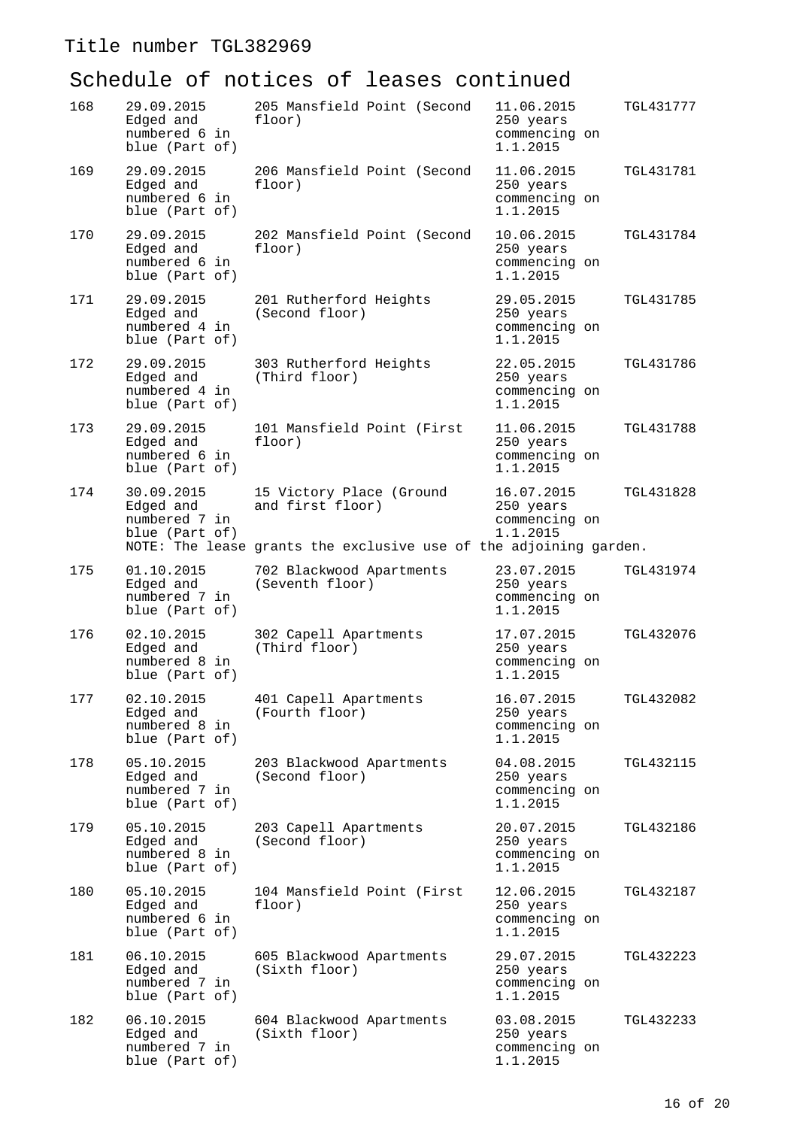| 168 | 29.09.2015<br>Edged and<br>numbered 6 in<br>blue (Part of) | 205 Mansfield Point (Second<br>floor)                                                                             | 11.06.2015<br>TGL431777<br>250 years<br>commencing on<br>1.1.2015        |
|-----|------------------------------------------------------------|-------------------------------------------------------------------------------------------------------------------|--------------------------------------------------------------------------|
| 169 | 29.09.2015<br>Edged and<br>numbered 6 in<br>blue (Part of) | 206 Mansfield Point (Second<br>floor)                                                                             | 11.06.2015<br>TGL431781<br>250 years<br>commencing on<br>1.1.2015        |
| 170 | 29.09.2015<br>Edged and<br>numbered 6 in<br>blue (Part of) | 202 Mansfield Point (Second<br>floor)                                                                             | 10.06.2015<br>TGL431784<br>250 years<br>commencing on<br>1.1.2015        |
| 171 | 29.09.2015<br>Edged and<br>numbered 4 in<br>blue (Part of) | 201 Rutherford Heights<br>(Second floor)                                                                          | 29.05.2015<br>TGL431785<br>250 years<br>commencing on<br>1.1.2015        |
| 172 | 29.09.2015<br>Edged and<br>numbered 4 in<br>blue (Part of) | 303 Rutherford Heights<br>(Third floor)                                                                           | 22.05.2015<br>TGL431786<br>250 years<br>commencing on<br>1.1.2015        |
| 173 | 29.09.2015<br>Edged and<br>numbered 6 in<br>blue (Part of) | 101 Mansfield Point (First<br>floor)                                                                              | 11.06.2015<br><b>TGL431788</b><br>250 years<br>commencing on<br>1.1.2015 |
| 174 | 30.09.2015<br>Edged and<br>numbered 7 in<br>blue (Part of) | 15 Victory Place (Ground<br>and first floor)<br>NOTE: The lease grants the exclusive use of the adjoining garden. | 16.07.2015<br><b>TGL431828</b><br>250 years<br>commencing on<br>1.1.2015 |
| 175 | 01.10.2015<br>Edged and<br>numbered 7 in<br>blue (Part of) | 702 Blackwood Apartments<br>(Seventh floor)                                                                       | 23.07.2015<br>TGL431974<br>250 years<br>commencing on<br>1.1.2015        |
| 176 | 02.10.2015<br>Edged and<br>numbered 8 in<br>blue (Part of) | 302 Capell Apartments<br>(Third floor)                                                                            | 17.07.2015<br>TGL432076<br>250 years<br>commencing on<br>1.1.2015        |
| 177 | 02.10.2015<br>Edged and<br>numbered 8 in<br>blue (Part of) | 401 Capell Apartments<br>(Fourth floor)                                                                           | 16.07.2015<br>TGL432082<br>250 years<br>commencing on<br>1.1.2015        |
| 178 | 05.10.2015<br>Edged and<br>numbered 7 in<br>blue (Part of) | 203 Blackwood Apartments<br>(Second floor)                                                                        | 04.08.2015<br>TGL432115<br>250 years<br>commencing on<br>1.1.2015        |
| 179 | 05.10.2015<br>Edged and<br>numbered 8 in<br>blue (Part of) | 203 Capell Apartments<br>(Second floor)                                                                           | 20.07.2015<br>TGL432186<br>250 years<br>commencing on<br>1.1.2015        |
| 180 | 05.10.2015<br>Edged and<br>numbered 6 in<br>blue (Part of) | 104 Mansfield Point (First<br>floor)                                                                              | 12.06.2015<br>TGL432187<br>250 years<br>commencing on<br>1.1.2015        |
| 181 | 06.10.2015<br>Edged and<br>numbered 7 in<br>blue (Part of) | 605 Blackwood Apartments<br>(Sixth floor)                                                                         | 29.07.2015<br>TGL432223<br>250 years<br>commencing on<br>1.1.2015        |
| 182 | 06.10.2015<br>Edged and<br>numbered 7 in<br>blue (Part of) | 604 Blackwood Apartments<br>(Sixth floor)                                                                         | 03.08.2015<br>TGL432233<br>250 years<br>commencing on<br>1.1.2015        |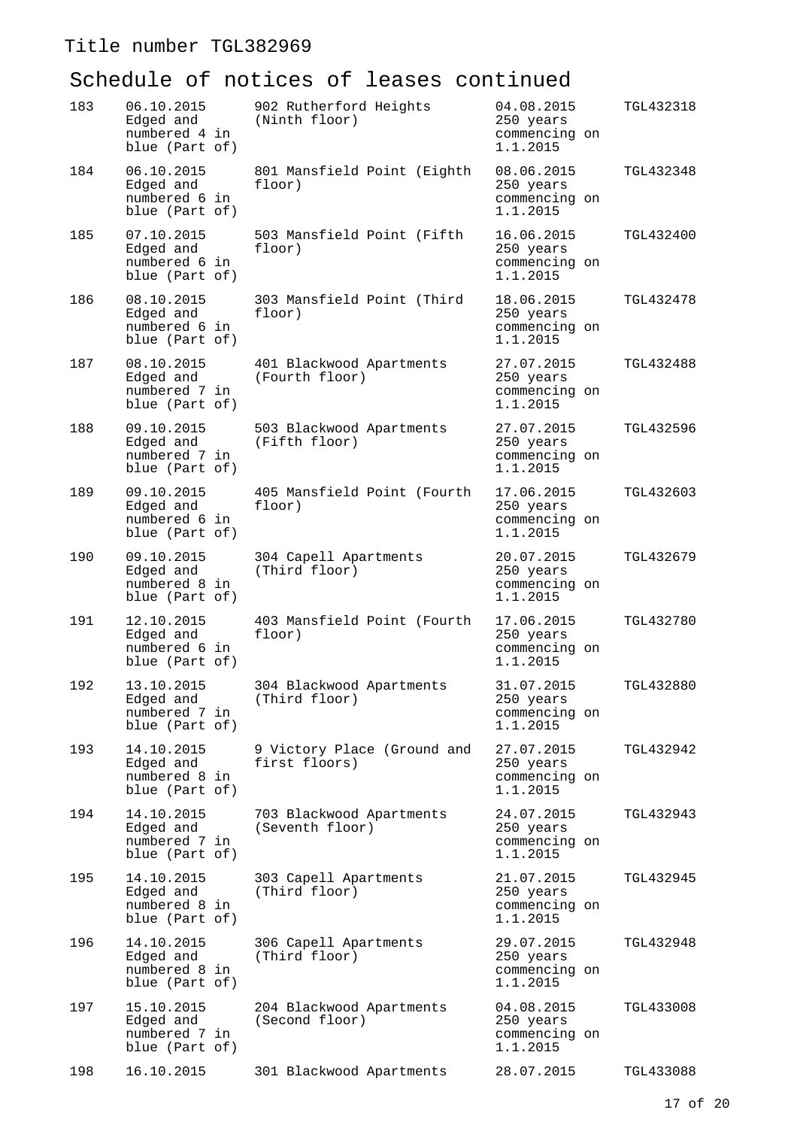| 183 | 06.10.2015<br>Edged and<br>numbered 4 in<br>blue (Part of) | 902 Rutherford Heights<br>(Ninth floor)      | 04.08.2015<br>250 years<br>commencing on<br>1.1.2015 | TGL432318 |
|-----|------------------------------------------------------------|----------------------------------------------|------------------------------------------------------|-----------|
| 184 | 06.10.2015<br>Edged and<br>numbered 6 in<br>blue (Part of) | 801 Mansfield Point (Eighth<br>floor)        | 08.06.2015<br>250 years<br>commencing on<br>1.1.2015 | TGL432348 |
| 185 | 07.10.2015<br>Edged and<br>numbered 6 in<br>blue (Part of) | 503 Mansfield Point (Fifth<br>floor)         | 16.06.2015<br>250 years<br>commencing on<br>1.1.2015 | TGL432400 |
| 186 | 08.10.2015<br>Edged and<br>numbered 6 in<br>blue (Part of) | 303 Mansfield Point (Third<br>floor)         | 18.06.2015<br>250 years<br>commencing on<br>1.1.2015 | TGL432478 |
| 187 | 08.10.2015<br>Edged and<br>numbered 7 in<br>blue (Part of) | 401 Blackwood Apartments<br>(Fourth floor)   | 27.07.2015<br>250 years<br>commencing on<br>1.1.2015 | TGL432488 |
| 188 | 09.10.2015<br>Edged and<br>numbered 7 in<br>blue (Part of) | 503 Blackwood Apartments<br>(Fifth floor)    | 27.07.2015<br>250 years<br>commencing on<br>1.1.2015 | TGL432596 |
| 189 | 09.10.2015<br>Edged and<br>numbered 6 in<br>blue (Part of) | 405 Mansfield Point (Fourth<br>floor)        | 17.06.2015<br>250 years<br>commencing on<br>1.1.2015 | TGL432603 |
| 190 | 09.10.2015<br>Edged and<br>numbered 8 in<br>blue (Part of) | 304 Capell Apartments<br>(Third floor)       | 20.07.2015<br>250 years<br>commencing on<br>1.1.2015 | TGL432679 |
| 191 | 12.10.2015<br>Edged and<br>numbered 6 in<br>blue (Part of) | 403 Mansfield Point (Fourth<br>floor)        | 17.06.2015<br>250 years<br>commencing on<br>1.1.2015 | TGL432780 |
| 192 | 13.10.2015<br>Edged and<br>numbered 7 in<br>blue (Part of) | 304 Blackwood Apartments<br>(Third floor)    | 31.07.2015<br>250 years<br>commencing on<br>1.1.2015 | TGL432880 |
| 193 | 14.10.2015<br>Edged and<br>numbered 8 in<br>blue (Part of) | 9 Victory Place (Ground and<br>first floors) | 27.07.2015<br>250 years<br>commencing on<br>1.1.2015 | TGL432942 |
| 194 | 14.10.2015<br>Edged and<br>numbered 7 in<br>blue (Part of) | 703 Blackwood Apartments<br>(Seventh floor)  | 24.07.2015<br>250 years<br>commencing on<br>1.1.2015 | TGL432943 |
| 195 | 14.10.2015<br>Edged and<br>numbered 8 in<br>blue (Part of) | 303 Capell Apartments<br>(Third floor)       | 21.07.2015<br>250 years<br>commencing on<br>1.1.2015 | TGL432945 |
| 196 | 14.10.2015<br>Edged and<br>numbered 8 in<br>blue (Part of) | 306 Capell Apartments<br>(Third floor)       | 29.07.2015<br>250 years<br>commencing on<br>1.1.2015 | TGL432948 |
| 197 | 15.10.2015<br>Edged and<br>numbered 7 in<br>blue (Part of) | 204 Blackwood Apartments<br>(Second floor)   | 04.08.2015<br>250 years<br>commencing on<br>1.1.2015 | TGL433008 |
| 198 | 16.10.2015                                                 | 301 Blackwood Apartments                     | 28.07.2015                                           | TGL433088 |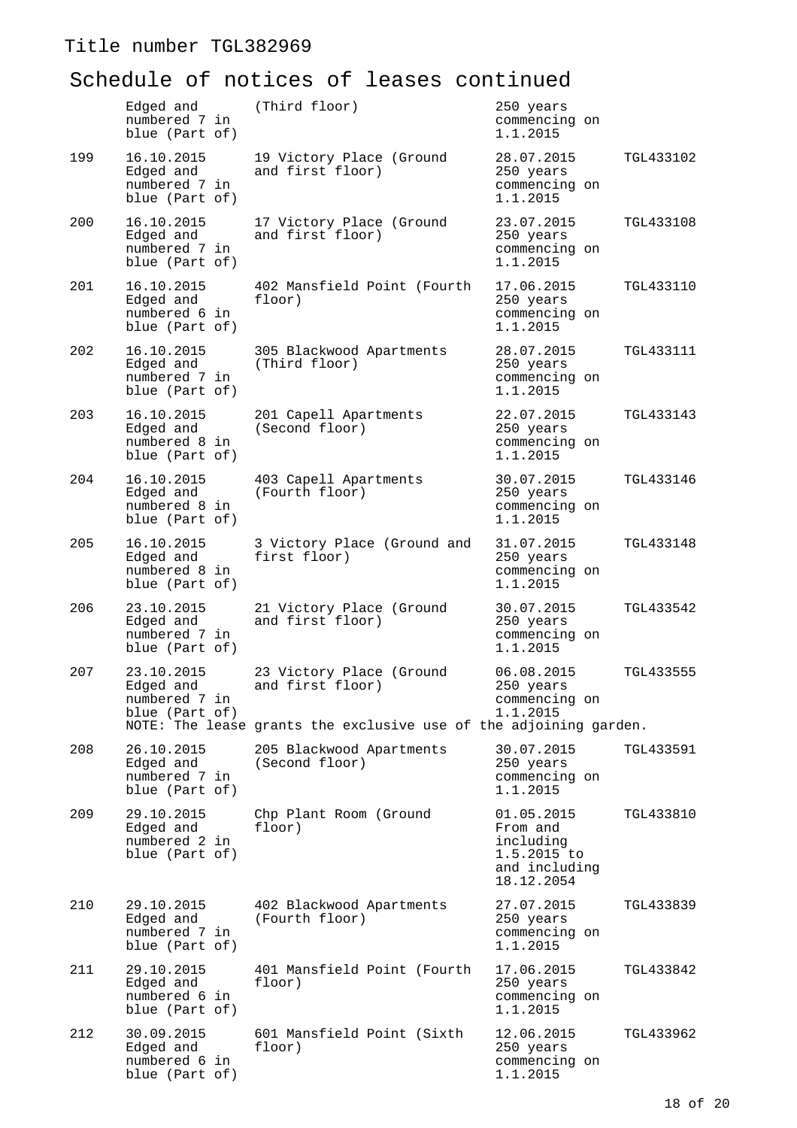|     | Edged and<br>numbered 7 in<br>blue (Part of)               | (Third floor)                                                                                                     | 250 years<br>commencing on<br>1.1.2015                                            |                  |
|-----|------------------------------------------------------------|-------------------------------------------------------------------------------------------------------------------|-----------------------------------------------------------------------------------|------------------|
| 199 | 16.10.2015<br>Edged and<br>numbered 7 in<br>blue (Part of) | 19 Victory Place (Ground<br>and first floor)                                                                      | 28.07.2015<br>250 years<br>commencing on<br>1.1.2015                              | TGL433102        |
| 200 | 16.10.2015<br>Edged and<br>numbered 7 in<br>blue (Part of) | 17 Victory Place (Ground<br>and first floor)                                                                      | 23.07.2015<br>250 years<br>commencing on<br>1.1.2015                              | <b>TGL433108</b> |
| 201 | 16.10.2015<br>Edged and<br>numbered 6 in<br>blue (Part of) | 402 Mansfield Point (Fourth<br>floor)                                                                             | 17.06.2015<br>250 years<br>commencing on<br>1.1.2015                              | TGL433110        |
| 202 | 16.10.2015<br>Edged and<br>numbered 7 in<br>blue (Part of) | 305 Blackwood Apartments<br>(Third floor)                                                                         | 28.07.2015<br>250 years<br>commencing on<br>1.1.2015                              | TGL433111        |
| 203 | 16.10.2015<br>Edged and<br>numbered 8 in<br>blue (Part of) | 201 Capell Apartments<br>(Second floor)                                                                           | 22.07.2015<br>250 years<br>commencing on<br>1.1.2015                              | TGL433143        |
| 204 | 16.10.2015<br>Edged and<br>numbered 8 in<br>blue (Part of) | 403 Capell Apartments<br>(Fourth floor)                                                                           | 30.07.2015<br>250 years<br>commencing on<br>1.1.2015                              | TGL433146        |
| 205 | 16.10.2015<br>Edged and<br>numbered 8 in<br>blue (Part of) | 3 Victory Place (Ground and<br>first floor)                                                                       | 31.07.2015<br>250 years<br>commencing on<br>1.1.2015                              | TGL433148        |
| 206 | 23.10.2015<br>Edged and<br>numbered 7 in<br>blue (Part of) | 21 Victory Place (Ground<br>and first floor)                                                                      | 30.07.2015<br>250 years<br>commencing on<br>1.1.2015                              | TGL433542        |
| 207 | 23.10.2015<br>Edged and<br>numbered / in<br>blue (Part of) | 23 Victory Place (Ground<br>and first floor)<br>NOTE: The lease grants the exclusive use of the adjoining garden. | 06.08.2015<br>250 years<br>commencing on<br>1.1.2015                              | TGL433555        |
| 208 | 26.10.2015<br>Edged and<br>numbered 7 in<br>blue (Part of) | 205 Blackwood Apartments<br>(Second floor)                                                                        | 30.07.2015<br>250 years<br>commencing on<br>1.1.2015                              | TGL433591        |
| 209 | 29.10.2015<br>Edged and<br>numbered 2 in<br>blue (Part of) | Chp Plant Room (Ground<br>floor)                                                                                  | 01.05.2015<br>From and<br>including<br>1.5.2015 to<br>and including<br>18.12.2054 | TGL433810        |
| 210 | 29.10.2015<br>Edged and<br>numbered 7 in<br>blue (Part of) | 402 Blackwood Apartments<br>(Fourth floor)                                                                        | 27.07.2015<br>250 years<br>commencing on<br>1.1.2015                              | TGL433839        |
| 211 | 29.10.2015<br>Edged and<br>numbered 6 in<br>blue (Part of) | 401 Mansfield Point (Fourth<br>floor)                                                                             | 17.06.2015<br>250 years<br>commencing on<br>1.1.2015                              | TGL433842        |
| 212 | 30.09.2015<br>Edged and<br>numbered 6 in<br>blue (Part of) | 601 Mansfield Point (Sixth<br>floor)                                                                              | 12.06.2015<br>250 years<br>commencing on<br>1.1.2015                              | TGL433962        |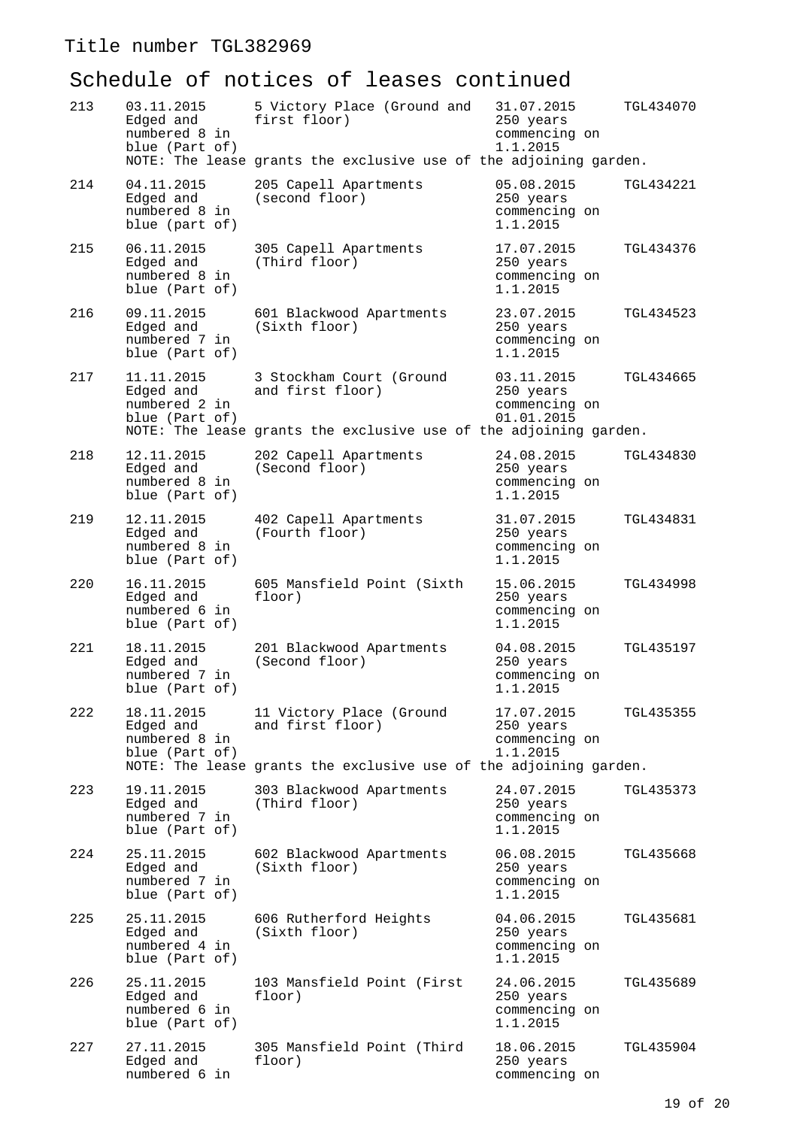| 213 | 03.11.2015<br>Edged and<br>numbered 8 in<br>blue (Part of) | 5 Victory Place (Ground and<br>first floor)<br>NOTE: The lease grants the exclusive use of the adjoining garden.  | 31.07.2015<br>250 years<br>commencing on<br>1.1.2015   | TGL434070 |
|-----|------------------------------------------------------------|-------------------------------------------------------------------------------------------------------------------|--------------------------------------------------------|-----------|
| 214 | 04.11.2015<br>Edged and<br>numbered 8 in<br>blue (part of) | 205 Capell Apartments<br>(second floor)                                                                           | 05.08.2015<br>250 years<br>commencing on<br>1.1.2015   | TGL434221 |
| 215 | 06.11.2015<br>Edged and<br>numbered 8 in<br>blue (Part of) | 305 Capell Apartments<br>(Third floor)                                                                            | 17.07.2015<br>250 years<br>commencing on<br>1.1.2015   | TGL434376 |
| 216 | 09.11.2015<br>Edged and<br>numbered 7 in<br>blue (Part of) | 601 Blackwood Apartments<br>(Sixth floor)                                                                         | 23.07.2015<br>250 years<br>commencing on<br>1.1.2015   | TGL434523 |
| 217 | 11.11.2015<br>Edged and<br>numbered 2 in<br>blue (Part of) | 3 Stockham Court (Ground<br>and first floor)<br>NOTE: The lease grants the exclusive use of the adjoining garden. | 03.11.2015<br>250 years<br>commencing on<br>01.01.2015 | TGL434665 |
| 218 | 12.11.2015<br>Edged and<br>numbered 8 in<br>blue (Part of) | 202 Capell Apartments<br>(Second floor)                                                                           | 24.08.2015<br>250 years<br>commencing on<br>1.1.2015   | TGL434830 |
| 219 | 12.11.2015<br>Edged and<br>numbered 8 in<br>blue (Part of) | 402 Capell Apartments<br>(Fourth floor)                                                                           | 31.07.2015<br>250 years<br>commencing on<br>1.1.2015   | TGL434831 |
| 220 | 16.11.2015<br>Edged and<br>numbered 6 in<br>blue (Part of) | 605 Mansfield Point (Sixth<br>floor)                                                                              | 15.06.2015<br>250 years<br>commencing on<br>1.1.2015   | TGL434998 |
| 221 | 18.11.2015<br>Edged and<br>numbered 7 in<br>blue (Part of) | 201 Blackwood Apartments<br>(Second floor)                                                                        | 04.08.2015<br>250 years<br>commencing on<br>1.1.2015   | TGL435197 |
| 222 | 18.11.2015<br>Edged and<br>numbered 8 in<br>blue (Part of) | 11 Victory Place (Ground<br>and first floor)<br>NOTE: The lease grants the exclusive use of the adjoining garden. | 17.07.2015<br>250 years<br>commencing on<br>1.1.2015   | TGL435355 |
| 223 | 19.11.2015<br>Edged and<br>numbered 7 in<br>blue (Part of) | 303 Blackwood Apartments<br>(Third floor)                                                                         | 24.07.2015<br>250 years<br>commencing on<br>1.1.2015   | TGL435373 |
| 224 | 25.11.2015<br>Edged and<br>numbered 7 in<br>blue (Part of) | 602 Blackwood Apartments<br>(Sixth floor)                                                                         | 06.08.2015<br>250 years<br>commencing on<br>1.1.2015   | TGL435668 |
| 225 | 25.11.2015<br>Edged and<br>numbered 4 in<br>blue (Part of) | 606 Rutherford Heights<br>(Sixth floor)                                                                           | 04.06.2015<br>250 years<br>commencing on<br>1.1.2015   | TGL435681 |
| 226 | 25.11.2015<br>Edged and<br>numbered 6 in<br>blue (Part of) | 103 Mansfield Point (First<br>floor)                                                                              | 24.06.2015<br>250 years<br>commencing on<br>1.1.2015   | TGL435689 |
| 227 | 27.11.2015<br>Edged and<br>numbered 6 in                   | 305 Mansfield Point (Third<br>floor)                                                                              | 18.06.2015<br>250 years<br>commencing on               | TGL435904 |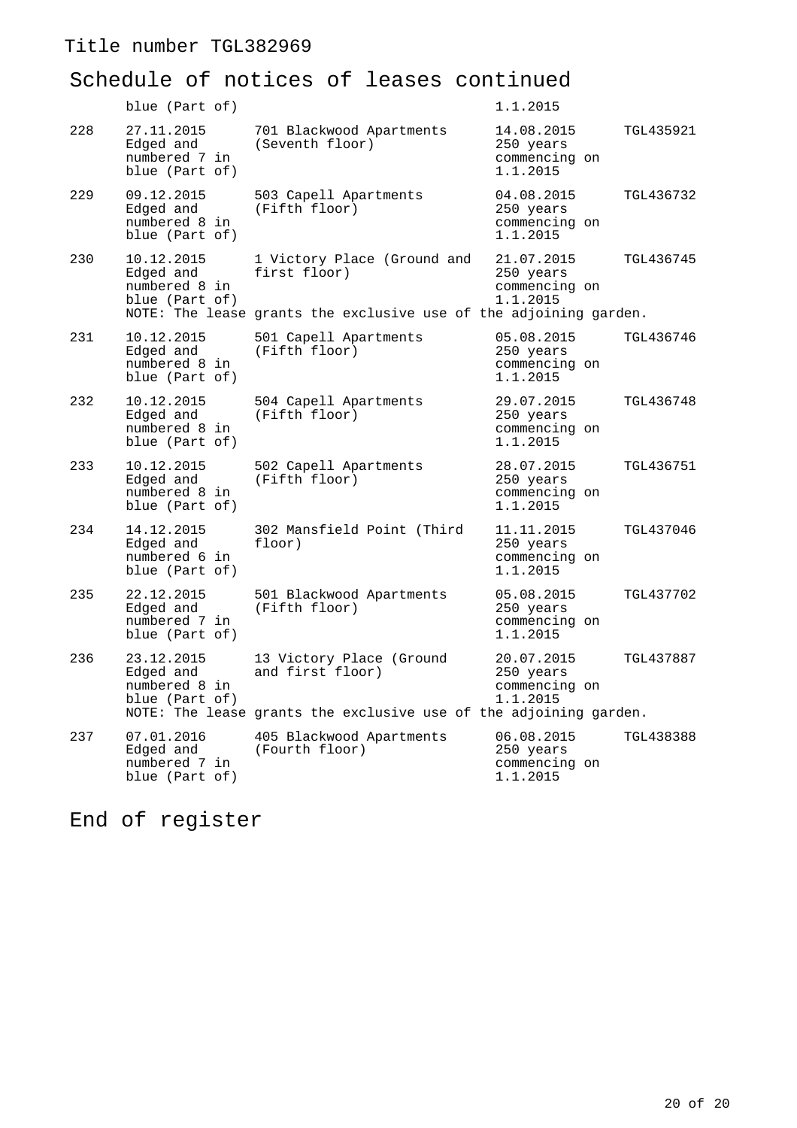# Schedule of notices of leases continued

|     | blue (Part of)                                             |                                                                                                                   | 1.1.2015                                                          |
|-----|------------------------------------------------------------|-------------------------------------------------------------------------------------------------------------------|-------------------------------------------------------------------|
| 228 | 27.11.2015<br>Edged and<br>numbered 7 in<br>blue (Part of) | 701 Blackwood Apartments<br>(Seventh floor)                                                                       | 14.08.2015<br>TGL435921<br>250 years<br>commencing on<br>1.1.2015 |
| 229 | 09.12.2015<br>Edged and<br>numbered 8 in<br>blue (Part of) | 503 Capell Apartments<br>(Fifth floor)                                                                            | 04.08.2015<br>TGL436732<br>250 years<br>commencing on<br>1.1.2015 |
| 230 | 10.12.2015<br>Edged and<br>numbered 8 in<br>blue (Part of) | 1 Victory Place (Ground and<br>first floor)<br>NOTE: The lease grants the exclusive use of the adjoining garden.  | 21.07.2015<br>TGL436745<br>250 years<br>commencing on<br>1.1.2015 |
| 231 | 10.12.2015<br>Edged and<br>numbered 8 in<br>blue (Part of) | 501 Capell Apartments<br>(Fifth floor)                                                                            | 05.08.2015<br>TGL436746<br>250 years<br>commencing on<br>1.1.2015 |
| 232 | 10.12.2015<br>Edged and<br>numbered 8 in<br>blue (Part of) | 504 Capell Apartments<br>(Fifth floor)                                                                            | 29.07.2015<br>TGL436748<br>250 years<br>commencing on<br>1.1.2015 |
| 233 | 10.12.2015<br>Edged and<br>numbered 8 in<br>blue (Part of) | 502 Capell Apartments<br>(Fifth floor)                                                                            | 28.07.2015<br>TGL436751<br>250 years<br>commencing on<br>1.1.2015 |
| 234 | 14.12.2015<br>Edged and<br>numbered 6 in<br>blue (Part of) | 302 Mansfield Point (Third<br>floor)                                                                              | 11.11.2015<br>TGL437046<br>250 years<br>commencing on<br>1.1.2015 |
| 235 | 22.12.2015<br>Edged and<br>numbered 7 in<br>blue (Part of) | 501 Blackwood Apartments<br>(Fifth floor)                                                                         | 05.08.2015<br>TGL437702<br>250 years<br>commencing on<br>1.1.2015 |
| 236 | 23.12.2015<br>Edged and<br>numbered 8 in<br>blue (Part of) | 13 Victory Place (Ground<br>and first floor)<br>NOTE: The lease grants the exclusive use of the adjoining garden. | 20.07.2015<br>TGL437887<br>250 years<br>commencing on<br>1.1.2015 |
| 237 | 07.01.2016<br>Edged and<br>numbered 7 in<br>blue (Part of) | 405 Blackwood Apartments<br>(Fourth floor)                                                                        | 06.08.2015<br>TGL438388<br>250 years<br>commencing on<br>1.1.2015 |

End of register